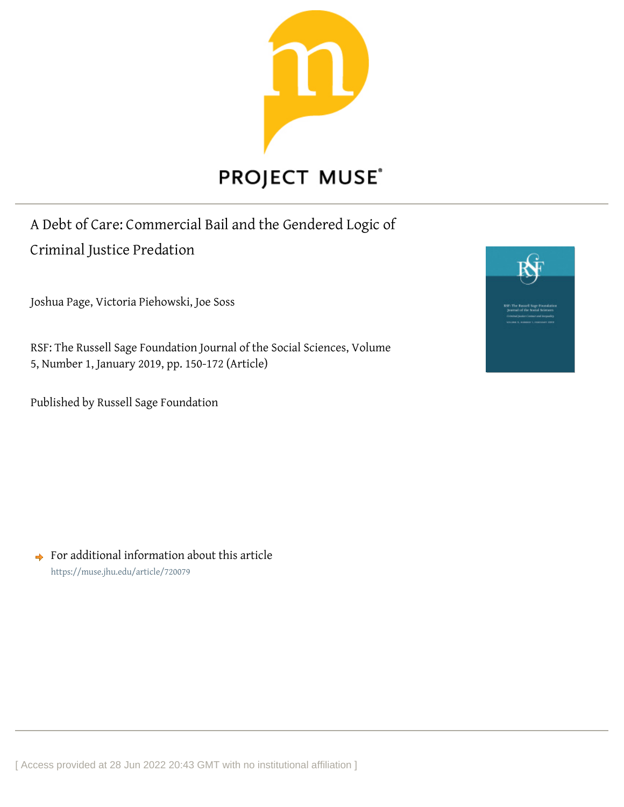

## A Debt of Care: Commercial Bail and the Gendered Logic of Criminal Justice Predation

Joshua Page, Victoria Piehowski, Joe Soss

RSF: The Russell Sage Foundation Journal of the Social Sciences, Volume 5, Number 1, January 2019, pp. 150-172 (Article)

Published by Russell Sage Foundation



 $\rightarrow$  For additional information about this article <https://muse.jhu.edu/article/720079>

[ Access provided at 28 Jun 2022 20:43 GMT with no institutional affiliation ]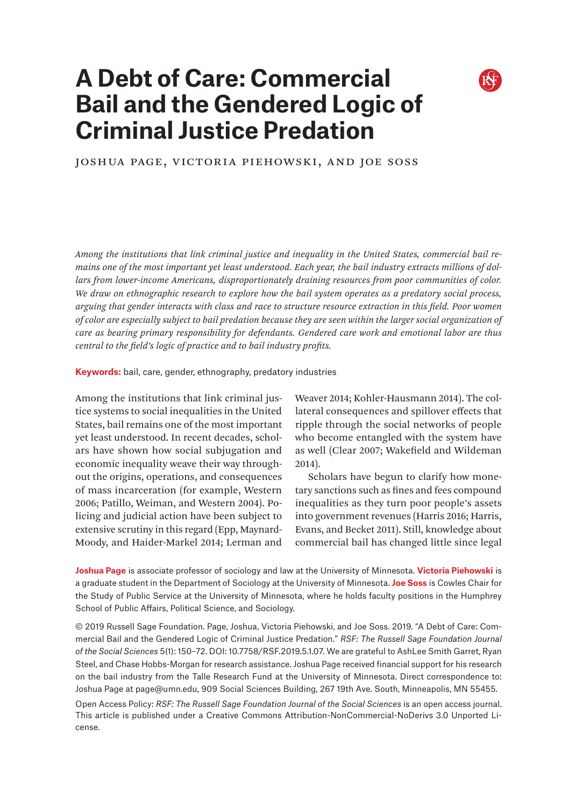# **A Debt of Care: Commercial Bail and the Gendered Logic of Criminal Justice Predation**



### Joshua Page, Victoria Piehowski, and Joe Soss

*Among the institutions that link criminal justice and inequality in the United States, commercial bail remains one of the most important yet least understood. Each year, the bail industry extracts millions of dollars from lower-income Americans, disproportionately draining resources from poor communities of color. We draw on ethnographic research to explore how the bail system operates as a predatory social process, arguing that gender interacts with class and race to structure resource extraction in this field. Poor women of color are especially subject to bail predation because they are seen within the larger social organization of care as bearing primary responsibility for defendants. Gendered care work and emotional labor are thus central to the field's logic of practice and to bail industry profits.*

**Keywords:** bail, care, gender, ethnography, predatory industries

Among the institutions that link criminal justice systems to social inequalities in the United States, bail remains one of the most important yet least understood. In recent decades, scholars have shown how social subjugation and economic inequality weave their way throughout the origins, operations, and consequences of mass incarceration (for example, Western 2006; Patillo, Weiman, and Western 2004). Policing and judicial action have been subject to extensive scrutiny in this regard (Epp, Maynard-Moody, and Haider-Markel 2014; Lerman and

Weaver 2014; Kohler-Hausmann 2014). The collateral consequences and spillover effects that ripple through the social networks of people who become entangled with the system have as well (Clear 2007; Wakefield and Wildeman 2014).

Scholars have begun to clarify how monetary sanctions such as fines and fees compound inequalities as they turn poor people's assets into government revenues (Harris 2016; Harris, Evans, and Becket 2011). Still, knowledge about commercial bail has changed little since legal

**Joshua Page** is associate professor of sociology and law at the University of Minnesota. **Victoria Piehowski** is a graduate student in the Department of Sociology at the University of Minnesota. **Joe Soss** is Cowles Chair for the Study of Public Service at the University of Minnesota, where he holds faculty positions in the Humphrey School of Public Affairs, Political Science, and Sociology.

© 2019 Russell Sage Foundation. Page, Joshua, Victoria Piehowski, and Joe Soss. 2019. "A Debt of Care: Commercial Bail and the Gendered Logic of Criminal Justice Predation." *RSF: The Russell Sage Foundation Journal of the Social Sciences* 5(1): 150–72. DOI: 10.7758/RSF.2019.5.1.07. We are grateful to AshLee Smith Garret, Ryan Steel, and Chase Hobbs-Morgan for research assistance. Joshua Page received financial support for his research on the bail industry from the Talle Research Fund at the University of Minnesota. Direct correspondence to: Joshua Page at [page@umn.edu](mailto:page%40umn.edu?subject=), 909 Social Sciences Building, 267 19th Ave. South, Minneapolis, MN 55455.

Open Access Policy: *RSF: The Russell Sage Foundation Journal of the Social Sciences* is an open access journal. This article is published under a Creative Commons Attribution-NonCommercial-NoDerivs 3.0 Unported License.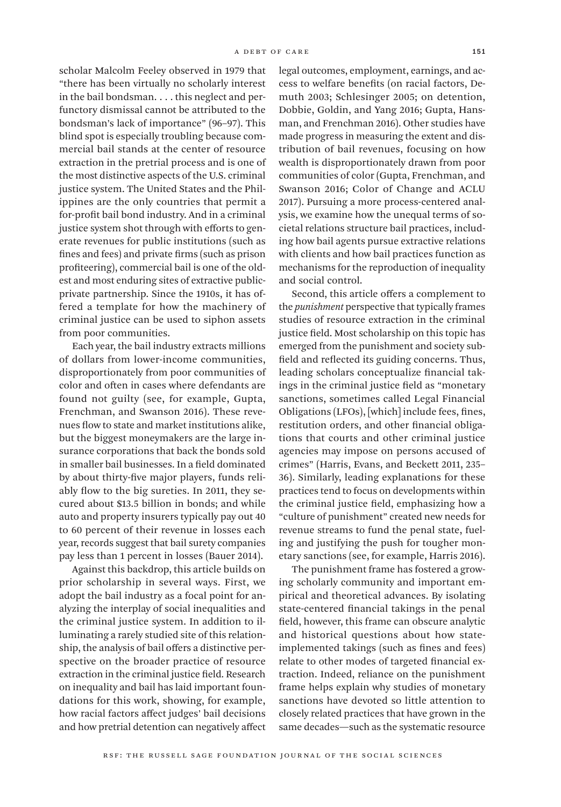scholar Malcolm Feeley observed in 1979 that "there has been virtually no scholarly interest in the bail bondsman. . . . this neglect and perfunctory dismissal cannot be attributed to the bondsman's lack of importance" (96–97). This blind spot is especially troubling because commercial bail stands at the center of resource extraction in the pretrial process and is one of the most distinctive aspects of the U.S. criminal justice system. The United States and the Philippines are the only countries that permit a for-profit bail bond industry. And in a criminal justice system shot through with efforts to generate revenues for public institutions (such as fines and fees) and private firms (such as prison profiteering), commercial bail is one of the oldest and most enduring sites of extractive publicprivate partnership. Since the 1910s, it has offered a template for how the machinery of criminal justice can be used to siphon assets from poor communities.

Each year, the bail industry extracts millions of dollars from lower-income communities, disproportionately from poor communities of color and often in cases where defendants are found not guilty (see, for example, Gupta, Frenchman, and Swanson 2016). These revenues flow to state and market institutions alike, but the biggest moneymakers are the large insurance corporations that back the bonds sold in smaller bail businesses. In a field dominated by about thirty-five major players, funds reliably flow to the big sureties. In 2011, they secured about \$13.5 billion in bonds; and while auto and property insurers typically pay out 40 to 60 percent of their revenue in losses each year, records suggest that bail surety companies pay less than 1 percent in losses (Bauer 2014).

Against this backdrop, this article builds on prior scholarship in several ways. First, we adopt the bail industry as a focal point for analyzing the interplay of social inequalities and the criminal justice system. In addition to illuminating a rarely studied site of this relationship, the analysis of bail offers a distinctive perspective on the broader practice of resource extraction in the criminal justice field. Research on inequality and bail has laid important foundations for this work, showing, for example, how racial factors affect judges' bail decisions and how pretrial detention can negatively affect

legal outcomes, employment, earnings, and access to welfare benefits (on racial factors, Demuth 2003; Schlesinger 2005; on detention, Dobbie, Goldin, and Yang 2016; Gupta, Hansman, and Frenchman 2016). Other studies have made progress in measuring the extent and distribution of bail revenues, focusing on how wealth is disproportionately drawn from poor communities of color (Gupta, Frenchman, and Swanson 2016; Color of Change and ACLU 2017). Pursuing a more process-centered analysis, we examine how the unequal terms of societal relations structure bail practices, including how bail agents pursue extractive relations with clients and how bail practices function as mechanisms for the reproduction of inequality and social control.

Second, this article offers a complement to the *punishment* perspective that typically frames studies of resource extraction in the criminal justice field. Most scholarship on this topic has emerged from the punishment and society subfield and reflected its guiding concerns. Thus, leading scholars conceptualize financial takings in the criminal justice field as "monetary sanctions, sometimes called Legal Financial Obligations (LFOs), [which] include fees, fines, restitution orders, and other financial obligations that courts and other criminal justice agencies may impose on persons accused of crimes" (Harris, Evans, and Beckett 2011, 235– 36). Similarly, leading explanations for these practices tend to focus on developments within the criminal justice field, emphasizing how a "culture of punishment" created new needs for revenue streams to fund the penal state, fueling and justifying the push for tougher monetary sanctions (see, for example, Harris 2016).

The punishment frame has fostered a growing scholarly community and important empirical and theoretical advances. By isolating state-centered financial takings in the penal field, however, this frame can obscure analytic and historical questions about how stateimplemented takings (such as fines and fees) relate to other modes of targeted financial extraction. Indeed, reliance on the punishment frame helps explain why studies of monetary sanctions have devoted so little attention to closely related practices that have grown in the same decades—such as the systematic resource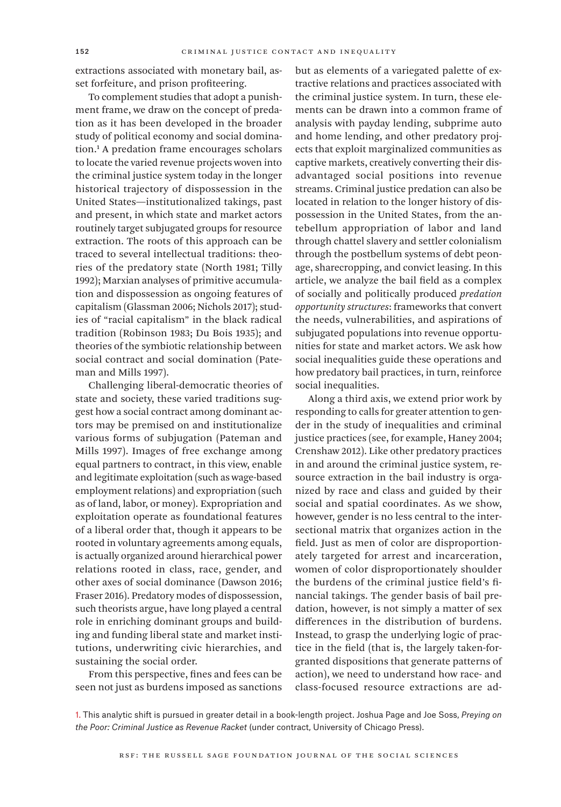extractions associated with monetary bail, asset forfeiture, and prison profiteering.

To complement studies that adopt a punishment frame, we draw on the concept of predation as it has been developed in the broader study of political economy and social domination.1 A predation frame encourages scholars to locate the varied revenue projects woven into the criminal justice system today in the longer historical trajectory of dispossession in the United States—institutionalized takings, past and present, in which state and market actors routinely target subjugated groups for resource extraction. The roots of this approach can be traced to several intellectual traditions: theories of the predatory state (North 1981; Tilly 1992); Marxian analyses of primitive accumulation and dispossession as ongoing features of capitalism (Glassman 2006; Nichols 2017); studies of "racial capitalism" in the black radical tradition (Robinson 1983; Du Bois 1935); and theories of the symbiotic relationship between social contract and social domination (Pateman and Mills 1997).

Challenging liberal-democratic theories of state and society, these varied traditions suggest how a social contract among dominant actors may be premised on and institutionalize various forms of subjugation (Pateman and Mills 1997). Images of free exchange among equal partners to contract, in this view, enable and legitimate exploitation (such as wage-based employment relations) and expropriation (such as of land, labor, or money). Expropriation and exploitation operate as foundational features of a liberal order that, though it appears to be rooted in voluntary agreements among equals, is actually organized around hierarchical power relations rooted in class, race, gender, and other axes of social dominance (Dawson 2016; Fraser 2016). Predatory modes of dispossession, such theorists argue, have long played a central role in enriching dominant groups and building and funding liberal state and market institutions, underwriting civic hierarchies, and sustaining the social order.

From this perspective, fines and fees can be seen not just as burdens imposed as sanctions but as elements of a variegated palette of extractive relations and practices associated with the criminal justice system. In turn, these elements can be drawn into a common frame of analysis with payday lending, subprime auto and home lending, and other predatory projects that exploit marginalized communities as captive markets, creatively converting their disadvantaged social positions into revenue streams. Criminal justice predation can also be located in relation to the longer history of dispossession in the United States, from the antebellum appropriation of labor and land through chattel slavery and settler colonialism through the postbellum systems of debt peonage, sharecropping, and convict leasing. In this article, we analyze the bail field as a complex of socially and politically produced *predation opportunity structures*: frameworks that convert the needs, vulnerabilities, and aspirations of subjugated populations into revenue opportunities for state and market actors. We ask how social inequalities guide these operations and how predatory bail practices, in turn, reinforce social inequalities.

Along a third axis, we extend prior work by responding to calls for greater attention to gender in the study of inequalities and criminal justice practices (see, for example, Haney 2004; Crenshaw 2012). Like other predatory practices in and around the criminal justice system, resource extraction in the bail industry is organized by race and class and guided by their social and spatial coordinates. As we show, however, gender is no less central to the intersectional matrix that organizes action in the field. Just as men of color are disproportionately targeted for arrest and incarceration, women of color disproportionately shoulder the burdens of the criminal justice field's financial takings. The gender basis of bail predation, however, is not simply a matter of sex differences in the distribution of burdens. Instead, to grasp the underlying logic of practice in the field (that is, the largely taken-forgranted dispositions that generate patterns of action), we need to understand how race- and class-focused resource extractions are ad-

1. This analytic shift is pursued in greater detail in a book-length project. Joshua Page and Joe Soss, *Preying on the Poor: Criminal Justice as Revenue Racket* (under contract, University of Chicago Press).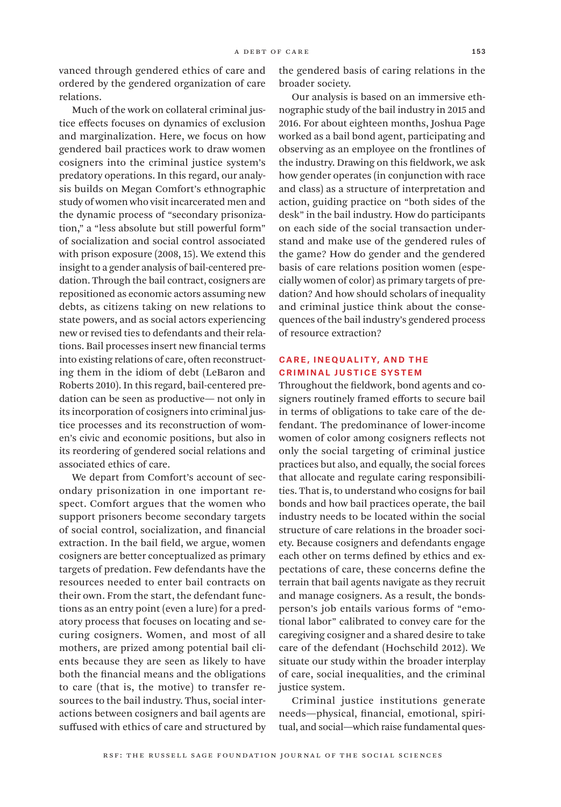vanced through gendered ethics of care and ordered by the gendered organization of care relations.

Much of the work on collateral criminal justice effects focuses on dynamics of exclusion and marginalization. Here, we focus on how gendered bail practices work to draw women cosigners into the criminal justice system's predatory operations. In this regard, our analysis builds on Megan Comfort's ethnographic study of women who visit incarcerated men and the dynamic process of "secondary prisonization," a "less absolute but still powerful form" of socialization and social control associated with prison exposure (2008, 15). We extend this insight to a gender analysis of bail-centered predation. Through the bail contract, cosigners are repositioned as economic actors assuming new debts, as citizens taking on new relations to state powers, and as social actors experiencing new or revised ties to defendants and their relations. Bail processes insert new financial terms into existing relations of care, often reconstructing them in the idiom of debt (LeBaron and Roberts 2010). In this regard, bail-centered predation can be seen as productive— not only in its incorporation of cosigners into criminal justice processes and its reconstruction of women's civic and economic positions, but also in its reordering of gendered social relations and associated ethics of care.

We depart from Comfort's account of secondary prisonization in one important respect. Comfort argues that the women who support prisoners become secondary targets of social control, socialization, and financial extraction. In the bail field, we argue, women cosigners are better conceptualized as primary targets of predation. Few defendants have the resources needed to enter bail contracts on their own. From the start, the defendant functions as an entry point (even a lure) for a predatory process that focuses on locating and securing cosigners. Women, and most of all mothers, are prized among potential bail clients because they are seen as likely to have both the financial means and the obligations to care (that is, the motive) to transfer resources to the bail industry. Thus, social interactions between cosigners and bail agents are suffused with ethics of care and structured by

the gendered basis of caring relations in the broader society.

Our analysis is based on an immersive ethnographic study of the bail industry in 2015 and 2016. For about eighteen months, Joshua Page worked as a bail bond agent, participating and observing as an employee on the frontlines of the industry. Drawing on this fieldwork, we ask how gender operates (in conjunction with race and class) as a structure of interpretation and action, guiding practice on "both sides of the desk" in the bail industry. How do participants on each side of the social transaction understand and make use of the gendered rules of the game? How do gender and the gendered basis of care relations position women (especially women of color) as primary targets of predation? And how should scholars of inequality and criminal justice think about the consequences of the bail industry's gendered process of resource extraction?

#### CARE, INEQUALITY, AND THE Criminal Justice System

Throughout the fieldwork, bond agents and cosigners routinely framed efforts to secure bail in terms of obligations to take care of the defendant. The predominance of lower-income women of color among cosigners reflects not only the social targeting of criminal justice practices but also, and equally, the social forces that allocate and regulate caring responsibilities. That is, to understand who cosigns for bail bonds and how bail practices operate, the bail industry needs to be located within the social structure of care relations in the broader society. Because cosigners and defendants engage each other on terms defined by ethics and expectations of care, these concerns define the terrain that bail agents navigate as they recruit and manage cosigners. As a result, the bondsperson's job entails various forms of "emotional labor" calibrated to convey care for the caregiving cosigner and a shared desire to take care of the defendant (Hochschild 2012). We situate our study within the broader interplay of care, social inequalities, and the criminal justice system.

Criminal justice institutions generate needs—physical, financial, emotional, spiritual, and social—which raise fundamental ques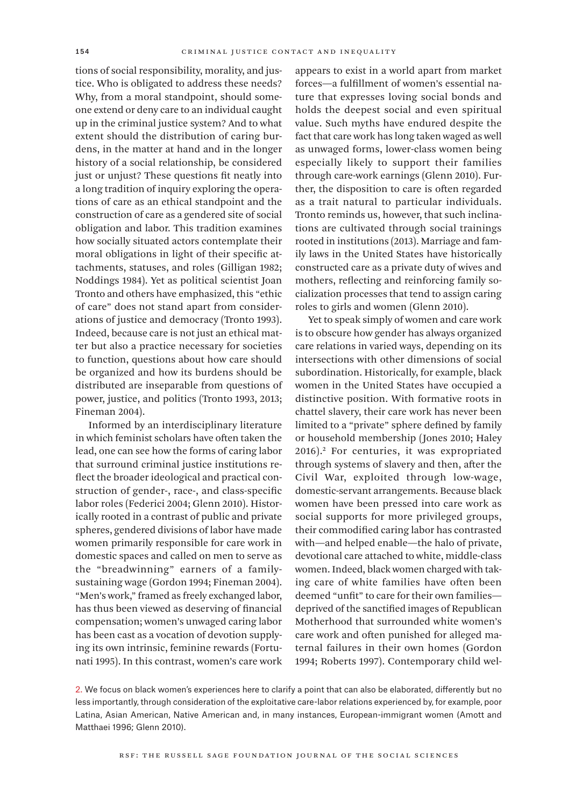tions of social responsibility, morality, and justice. Who is obligated to address these needs? Why, from a moral standpoint, should someone extend or deny care to an individual caught up in the criminal justice system? And to what extent should the distribution of caring burdens, in the matter at hand and in the longer history of a social relationship, be considered just or unjust? These questions fit neatly into a long tradition of inquiry exploring the operations of care as an ethical standpoint and the construction of care as a gendered site of social obligation and labor. This tradition examines how socially situated actors contemplate their moral obligations in light of their specific attachments, statuses, and roles (Gilligan 1982; Noddings 1984). Yet as political scientist Joan Tronto and others have emphasized, this "ethic of care" does not stand apart from considerations of justice and democracy (Tronto 1993). Indeed, because care is not just an ethical matter but also a practice necessary for societies to function, questions about how care should be organized and how its burdens should be distributed are inseparable from questions of power, justice, and politics (Tronto 1993, 2013; Fineman 2004).

Informed by an interdisciplinary literature in which feminist scholars have often taken the lead, one can see how the forms of caring labor that surround criminal justice institutions reflect the broader ideological and practical construction of gender-, race-, and class-specific labor roles (Federici 2004; Glenn 2010). Historically rooted in a contrast of public and private spheres, gendered divisions of labor have made women primarily responsible for care work in domestic spaces and called on men to serve as the "breadwinning" earners of a familysustaining wage (Gordon 1994; Fineman 2004). "Men's work," framed as freely exchanged labor, has thus been viewed as deserving of financial compensation; women's unwaged caring labor has been cast as a vocation of devotion supplying its own intrinsic, feminine rewards (Fortunati 1995). In this contrast, women's care work

appears to exist in a world apart from market forces—a fulfillment of women's essential nature that expresses loving social bonds and holds the deepest social and even spiritual value. Such myths have endured despite the fact that care work has long taken waged as well as unwaged forms, lower-class women being especially likely to support their families through care-work earnings (Glenn 2010). Further, the disposition to care is often regarded as a trait natural to particular individuals. Tronto reminds us, however, that such inclinations are cultivated through social trainings rooted in institutions (2013). Marriage and family laws in the United States have historically constructed care as a private duty of wives and mothers, reflecting and reinforcing family socialization processes that tend to assign caring roles to girls and women (Glenn 2010).

Yet to speak simply of women and care work is to obscure how gender has always organized care relations in varied ways, depending on its intersections with other dimensions of social subordination. Historically, for example, black women in the United States have occupied a distinctive position. With formative roots in chattel slavery, their care work has never been limited to a "private" sphere defined by family or household membership (Jones 2010; Haley 2016).2 For centuries, it was expropriated through systems of slavery and then, after the Civil War, exploited through low-wage, domestic-servant arrangements. Because black women have been pressed into care work as social supports for more privileged groups, their commodified caring labor has contrasted with—and helped enable—the halo of private, devotional care attached to white, middle-class women. Indeed, black women charged with taking care of white families have often been deemed "unfit" to care for their own families deprived of the sanctified images of Republican Motherhood that surrounded white women's care work and often punished for alleged maternal failures in their own homes (Gordon 1994; Roberts 1997). Contemporary child wel-

2. We focus on black women's experiences here to clarify a point that can also be elaborated, differently but no less importantly, through consideration of the exploitative care-labor relations experienced by, for example, poor Latina, Asian American, Native American and, in many instances, European-immigrant women (Amott and Matthaei 1996; Glenn 2010).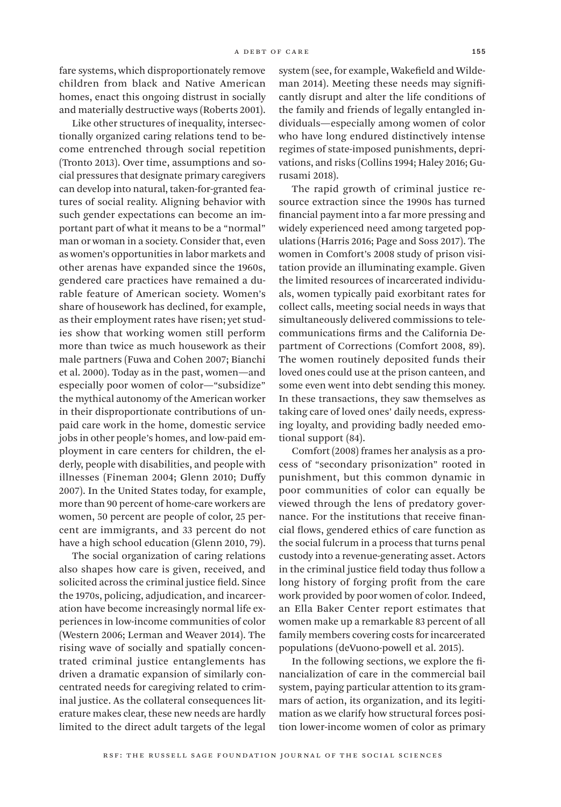fare systems, which disproportionately remove children from black and Native American homes, enact this ongoing distrust in socially and materially destructive ways (Roberts 2001).

Like other structures of inequality, intersectionally organized caring relations tend to become entrenched through social repetition (Tronto 2013). Over time, assumptions and social pressures that designate primary caregivers can develop into natural, taken-for-granted features of social reality. Aligning behavior with such gender expectations can become an important part of what it means to be a "normal" man or woman in a society. Consider that, even as women's opportunities in labor markets and other arenas have expanded since the 1960s, gendered care practices have remained a durable feature of American society. Women's share of housework has declined, for example, as their employment rates have risen; yet studies show that working women still perform more than twice as much housework as their male partners (Fuwa and Cohen 2007; Bianchi et al. 2000). Today as in the past, women—and especially poor women of color—"subsidize" the mythical autonomy of the American worker in their disproportionate contributions of unpaid care work in the home, domestic service jobs in other people's homes, and low-paid employment in care centers for children, the elderly, people with disabilities, and people with illnesses (Fineman 2004; Glenn 2010; Duffy 2007). In the United States today, for example, more than 90 percent of home-care workers are women, 50 percent are people of color, 25 percent are immigrants, and 33 percent do not have a high school education (Glenn 2010, 79).

The social organization of caring relations also shapes how care is given, received, and solicited across the criminal justice field. Since the 1970s, policing, adjudication, and incarceration have become increasingly normal life experiences in low-income communities of color (Western 2006; Lerman and Weaver 2014). The rising wave of socially and spatially concentrated criminal justice entanglements has driven a dramatic expansion of similarly concentrated needs for caregiving related to criminal justice. As the collateral consequences literature makes clear, these new needs are hardly limited to the direct adult targets of the legal

system (see, for example, Wakefield and Wildeman 2014). Meeting these needs may significantly disrupt and alter the life conditions of the family and friends of legally entangled individuals—especially among women of color who have long endured distinctively intense regimes of state-imposed punishments, deprivations, and risks (Collins 1994; Haley 2016; Gurusami 2018).

The rapid growth of criminal justice resource extraction since the 1990s has turned financial payment into a far more pressing and widely experienced need among targeted populations (Harris 2016; Page and Soss 2017). The women in Comfort's 2008 study of prison visitation provide an illuminating example. Given the limited resources of incarcerated individuals, women typically paid exorbitant rates for collect calls, meeting social needs in ways that simultaneously delivered commissions to telecommunications firms and the California Department of Corrections (Comfort 2008, 89). The women routinely deposited funds their loved ones could use at the prison canteen, and some even went into debt sending this money. In these transactions, they saw themselves as taking care of loved ones' daily needs, expressing loyalty, and providing badly needed emotional support (84).

Comfort (2008) frames her analysis as a process of "secondary prisonization" rooted in punishment, but this common dynamic in poor communities of color can equally be viewed through the lens of predatory governance. For the institutions that receive financial flows, gendered ethics of care function as the social fulcrum in a process that turns penal custody into a revenue-generating asset. Actors in the criminal justice field today thus follow a long history of forging profit from the care work provided by poor women of color. Indeed, an Ella Baker Center report estimates that women make up a remarkable 83 percent of all family members covering costs for incarcerated populations (deVuono-powell et al. 2015).

In the following sections, we explore the financialization of care in the commercial bail system, paying particular attention to its grammars of action, its organization, and its legitimation as we clarify how structural forces position lower-income women of color as primary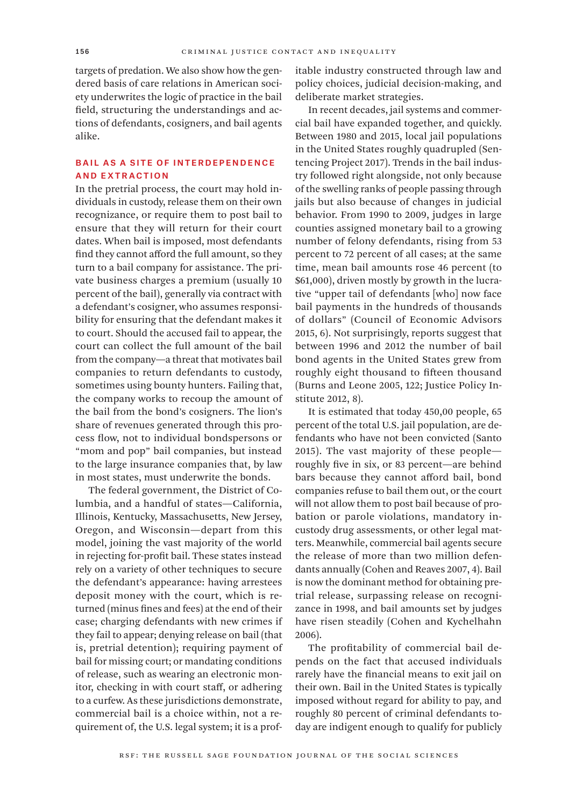targets of predation. We also show how the gendered basis of care relations in American society underwrites the logic of practice in the bail field, structuring the understandings and actions of defendants, cosigners, and bail agents alike.

#### Bail as a Site of Interdependence and Extraction

In the pretrial process, the court may hold individuals in custody, release them on their own recognizance, or require them to post bail to ensure that they will return for their court dates. When bail is imposed, most defendants find they cannot afford the full amount, so they turn to a bail company for assistance. The private business charges a premium (usually 10 percent of the bail), generally via contract with a defendant's cosigner, who assumes responsibility for ensuring that the defendant makes it to court. Should the accused fail to appear, the court can collect the full amount of the bail from the company—a threat that motivates bail companies to return defendants to custody, sometimes using bounty hunters. Failing that, the company works to recoup the amount of the bail from the bond's cosigners. The lion's share of revenues generated through this process flow, not to individual bondspersons or "mom and pop" bail companies, but instead to the large insurance companies that, by law in most states, must underwrite the bonds.

The federal government, the District of Columbia, and a handful of states—California, Illinois, Kentucky, Massachusetts, New Jersey, Oregon, and Wisconsin—depart from this model, joining the vast majority of the world in rejecting for-profit bail. These states instead rely on a variety of other techniques to secure the defendant's appearance: having arrestees deposit money with the court, which is returned (minus fines and fees) at the end of their case; charging defendants with new crimes if they fail to appear; denying release on bail (that is, pretrial detention); requiring payment of bail for missing court; or mandating conditions of release, such as wearing an electronic monitor, checking in with court staff, or adhering to a curfew. As these jurisdictions demonstrate, commercial bail is a choice within, not a requirement of, the U.S. legal system; it is a profitable industry constructed through law and policy choices, judicial decision-making, and deliberate market strategies.

In recent decades, jail systems and commercial bail have expanded together, and quickly. Between 1980 and 2015, local jail populations in the United States roughly quadrupled (Sentencing Project 2017). Trends in the bail industry followed right alongside, not only because of the swelling ranks of people passing through jails but also because of changes in judicial behavior. From 1990 to 2009, judges in large counties assigned monetary bail to a growing number of felony defendants, rising from 53 percent to 72 percent of all cases; at the same time, mean bail amounts rose 46 percent (to \$61,000), driven mostly by growth in the lucrative "upper tail of defendants [who] now face bail payments in the hundreds of thousands of dollars" (Council of Economic Advisors 2015, 6). Not surprisingly, reports suggest that between 1996 and 2012 the number of bail bond agents in the United States grew from roughly eight thousand to fifteen thousand (Burns and Leone 2005, 122; Justice Policy Institute 2012, 8).

It is estimated that today 450,00 people, 65 percent of the total U.S. jail population, are defendants who have not been convicted (Santo 2015). The vast majority of these people roughly five in six, or 83 percent—are behind bars because they cannot afford bail, bond companies refuse to bail them out, or the court will not allow them to post bail because of probation or parole violations, mandatory incustody drug assessments, or other legal matters. Meanwhile, commercial bail agents secure the release of more than two million defendants annually (Cohen and Reaves 2007, 4). Bail is now the dominant method for obtaining pretrial release, surpassing release on recognizance in 1998, and bail amounts set by judges have risen steadily (Cohen and Kychelhahn 2006).

The profitability of commercial bail depends on the fact that accused individuals rarely have the financial means to exit jail on their own. Bail in the United States is typically imposed without regard for ability to pay, and roughly 80 percent of criminal defendants today are indigent enough to qualify for publicly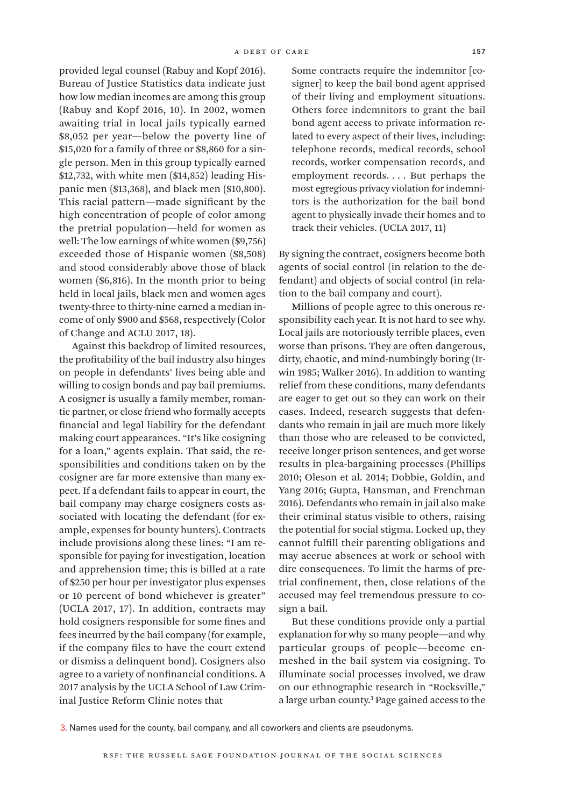provided legal counsel (Rabuy and Kopf 2016). Bureau of Justice Statistics data indicate just how low median incomes are among this group (Rabuy and Kopf 2016, 10). In 2002, women awaiting trial in local jails typically earned \$8,052 per year—below the poverty line of \$15,020 for a family of three or \$8,860 for a single person. Men in this group typically earned \$12,732, with white men (\$14,852) leading Hispanic men (\$13,368), and black men (\$10,800). This racial pattern—made significant by the high concentration of people of color among the pretrial population—held for women as well: The low earnings of white women (\$9,756) exceeded those of Hispanic women (\$8,508) and stood considerably above those of black women (\$6,816). In the month prior to being held in local jails, black men and women ages twenty-three to thirty-nine earned a median income of only \$900 and \$568, respectively (Color of Change and ACLU 2017, 18).

Against this backdrop of limited resources, the profitability of the bail industry also hinges on people in defendants' lives being able and willing to cosign bonds and pay bail premiums. A cosigner is usually a family member, romantic partner, or close friend who formally accepts financial and legal liability for the defendant making court appearances. "It's like cosigning for a loan," agents explain. That said, the responsibilities and conditions taken on by the cosigner are far more extensive than many expect. If a defendant fails to appear in court, the bail company may charge cosigners costs associated with locating the defendant (for example, expenses for bounty hunters). Contracts include provisions along these lines: "I am responsible for paying for investigation, location and apprehension time; this is billed at a rate of \$250 per hour per investigator plus expenses or 10 percent of bond whichever is greater" (UCLA 2017, 17). In addition, contracts may hold cosigners responsible for some fines and fees incurred by the bail company (for example, if the company files to have the court extend or dismiss a delinquent bond). Cosigners also agree to a variety of nonfinancial conditions. A 2017 analysis by the UCLA School of Law Criminal Justice Reform Clinic notes that

Some contracts require the indemnitor [cosigner] to keep the bail bond agent apprised of their living and employment situations. Others force indemnitors to grant the bail bond agent access to private information related to every aspect of their lives, including: telephone records, medical records, school records, worker compensation records, and employment records. . . . But perhaps the most egregious privacy violation for indemnitors is the authorization for the bail bond agent to physically invade their homes and to track their vehicles. (UCLA 2017, 11)

By signing the contract, cosigners become both agents of social control (in relation to the defendant) and objects of social control (in relation to the bail company and court).

Millions of people agree to this onerous responsibility each year. It is not hard to see why. Local jails are notoriously terrible places, even worse than prisons. They are often dangerous, dirty, chaotic, and mind-numbingly boring (Irwin 1985; Walker 2016). In addition to wanting relief from these conditions, many defendants are eager to get out so they can work on their cases. Indeed, research suggests that defendants who remain in jail are much more likely than those who are released to be convicted, receive longer prison sentences, and get worse results in plea-bargaining processes (Phillips 2010; Oleson et al. 2014; Dobbie, Goldin, and Yang 2016; Gupta, Hansman, and Frenchman 2016). Defendants who remain in jail also make their criminal status visible to others, raising the potential for social stigma. Locked up, they cannot fulfill their parenting obligations and may accrue absences at work or school with dire consequences. To limit the harms of pretrial confinement, then, close relations of the accused may feel tremendous pressure to cosign a bail.

But these conditions provide only a partial explanation for why so many people—and why particular groups of people—become enmeshed in the bail system via cosigning. To illuminate social processes involved, we draw on our ethnographic research in "Rocksville," a large urban county.<sup>3</sup> Page gained access to the

3. Names used for the county, bail company, and all coworkers and clients are pseudonyms.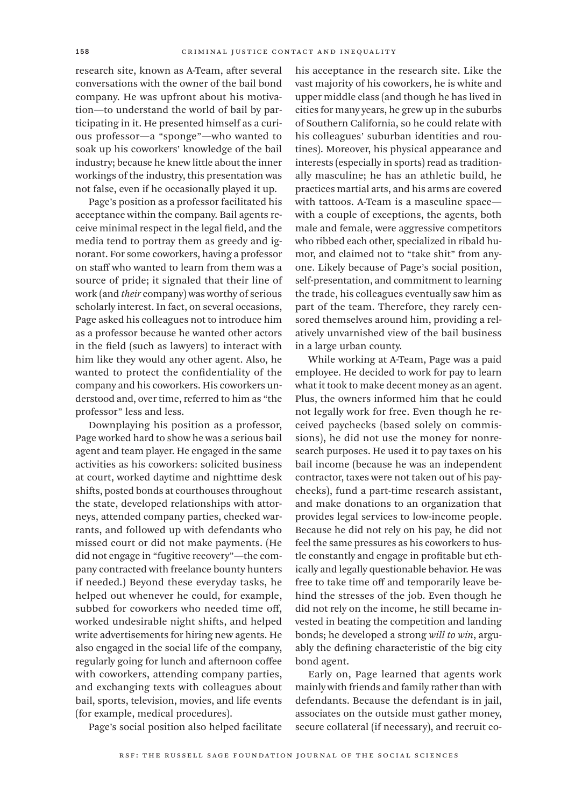research site, known as A-Team, after several conversations with the owner of the bail bond company. He was upfront about his motivation—to understand the world of bail by participating in it. He presented himself as a curious professor—a "sponge"—who wanted to soak up his coworkers' knowledge of the bail industry; because he knew little about the inner workings of the industry, this presentation was not false, even if he occasionally played it up.

Page's position as a professor facilitated his acceptance within the company. Bail agents receive minimal respect in the legal field, and the media tend to portray them as greedy and ignorant. For some coworkers, having a professor on staff who wanted to learn from them was a source of pride; it signaled that their line of work (and *their* company) was worthy of serious scholarly interest. In fact, on several occasions, Page asked his colleagues not to introduce him as a professor because he wanted other actors in the field (such as lawyers) to interact with him like they would any other agent. Also, he wanted to protect the confidentiality of the company and his coworkers. His coworkers understood and, over time, referred to him as "the professor" less and less.

Downplaying his position as a professor, Page worked hard to show he was a serious bail agent and team player. He engaged in the same activities as his coworkers: solicited business at court, worked daytime and nighttime desk shifts, posted bonds at courthouses throughout the state, developed relationships with attorneys, attended company parties, checked warrants, and followed up with defendants who missed court or did not make payments. (He did not engage in "fugitive recovery"—the company contracted with freelance bounty hunters if needed.) Beyond these everyday tasks, he helped out whenever he could, for example, subbed for coworkers who needed time off, worked undesirable night shifts, and helped write advertisements for hiring new agents. He also engaged in the social life of the company, regularly going for lunch and afternoon coffee with coworkers, attending company parties, and exchanging texts with colleagues about bail, sports, television, movies, and life events (for example, medical procedures).

Page's social position also helped facilitate

his acceptance in the research site. Like the vast majority of his coworkers, he is white and upper middle class (and though he has lived in cities for many years, he grew up in the suburbs of Southern California, so he could relate with his colleagues' suburban identities and routines). Moreover, his physical appearance and interests (especially in sports) read as traditionally masculine; he has an athletic build, he practices martial arts, and his arms are covered with tattoos. A-Team is a masculine space with a couple of exceptions, the agents, both male and female, were aggressive competitors who ribbed each other, specialized in ribald humor, and claimed not to "take shit" from anyone. Likely because of Page's social position, self-presentation, and commitment to learning the trade, his colleagues eventually saw him as part of the team. Therefore, they rarely censored themselves around him, providing a relatively unvarnished view of the bail business in a large urban county.

While working at A-Team, Page was a paid employee. He decided to work for pay to learn what it took to make decent money as an agent. Plus, the owners informed him that he could not legally work for free. Even though he received paychecks (based solely on commissions), he did not use the money for nonresearch purposes. He used it to pay taxes on his bail income (because he was an independent contractor, taxes were not taken out of his paychecks), fund a part-time research assistant, and make donations to an organization that provides legal services to low-income people. Because he did not rely on his pay, he did not feel the same pressures as his coworkers to hustle constantly and engage in profitable but ethically and legally questionable behavior. He was free to take time off and temporarily leave behind the stresses of the job. Even though he did not rely on the income, he still became invested in beating the competition and landing bonds; he developed a strong *will to win*, arguably the defining characteristic of the big city bond agent.

Early on, Page learned that agents work mainly with friends and family rather than with defendants. Because the defendant is in jail, associates on the outside must gather money, secure collateral (if necessary), and recruit co-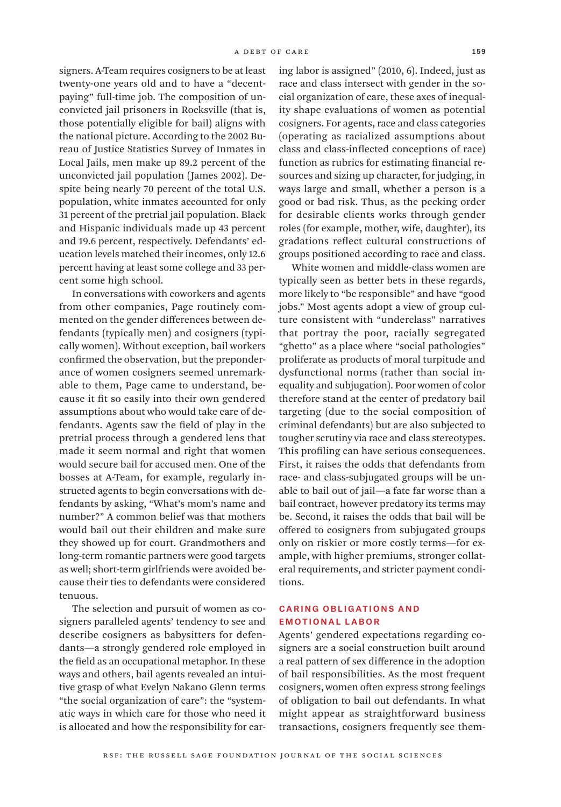signers. A-Team requires cosigners to be at least twenty-one years old and to have a "decentpaying" full-time job. The composition of unconvicted jail prisoners in Rocksville (that is, those potentially eligible for bail) aligns with the national picture. According to the 2002 Bureau of Justice Statistics Survey of Inmates in Local Jails, men make up 89.2 percent of the unconvicted jail population (James 2002). Despite being nearly 70 percent of the total U.S. population, white inmates accounted for only 31 percent of the pretrial jail population. Black and Hispanic individuals made up 43 percent and 19.6 percent, respectively. Defendants' education levels matched their incomes, only 12.6 percent having at least some college and 33 percent some high school.

In conversations with coworkers and agents from other companies, Page routinely commented on the gender differences between defendants (typically men) and cosigners (typically women). Without exception, bail workers confirmed the observation, but the preponderance of women cosigners seemed unremarkable to them, Page came to understand, because it fit so easily into their own gendered assumptions about who would take care of defendants. Agents saw the field of play in the pretrial process through a gendered lens that made it seem normal and right that women would secure bail for accused men. One of the bosses at A-Team, for example, regularly instructed agents to begin conversations with defendants by asking, "What's mom's name and number?" A common belief was that mothers would bail out their children and make sure they showed up for court. Grandmothers and long-term romantic partners were good targets as well; short-term girlfriends were avoided because their ties to defendants were considered tenuous.

The selection and pursuit of women as cosigners paralleled agents' tendency to see and describe cosigners as babysitters for defendants—a strongly gendered role employed in the field as an occupational metaphor. In these ways and others, bail agents revealed an intuitive grasp of what Evelyn Nakano Glenn terms "the social organization of care": the "systematic ways in which care for those who need it is allocated and how the responsibility for caring labor is assigned" (2010, 6). Indeed, just as race and class intersect with gender in the social organization of care, these axes of inequality shape evaluations of women as potential cosigners. For agents, race and class categories (operating as racialized assumptions about class and class-inflected conceptions of race) function as rubrics for estimating financial resources and sizing up character, for judging, in ways large and small, whether a person is a good or bad risk. Thus, as the pecking order for desirable clients works through gender roles (for example, mother, wife, daughter), its gradations reflect cultural constructions of groups positioned according to race and class.

White women and middle-class women are typically seen as better bets in these regards, more likely to "be responsible" and have "good jobs." Most agents adopt a view of group culture consistent with "underclass" narratives that portray the poor, racially segregated "ghetto" as a place where "social pathologies" proliferate as products of moral turpitude and dysfunctional norms (rather than social inequality and subjugation). Poor women of color therefore stand at the center of predatory bail targeting (due to the social composition of criminal defendants) but are also subjected to tougher scrutiny via race and class stereotypes. This profiling can have serious consequences. First, it raises the odds that defendants from race- and class-subjugated groups will be unable to bail out of jail—a fate far worse than a bail contract, however predatory its terms may be. Second, it raises the odds that bail will be offered to cosigners from subjugated groups only on riskier or more costly terms—for example, with higher premiums, stronger collateral requirements, and stricter payment conditions.

#### Caring Obligations and Emotional Labor

Agents' gendered expectations regarding cosigners are a social construction built around a real pattern of sex difference in the adoption of bail responsibilities. As the most frequent cosigners, women often express strong feelings of obligation to bail out defendants. In what might appear as straightforward business transactions, cosigners frequently see them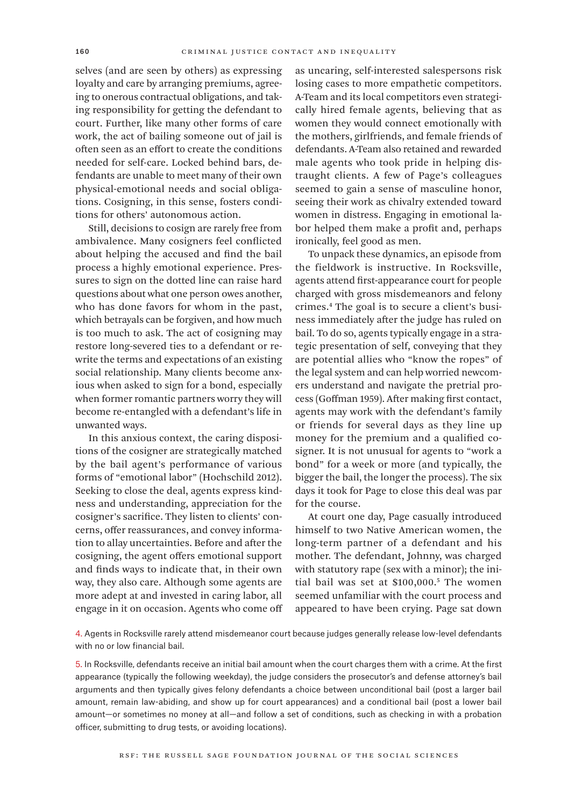selves (and are seen by others) as expressing loyalty and care by arranging premiums, agreeing to onerous contractual obligations, and taking responsibility for getting the defendant to court. Further, like many other forms of care work, the act of bailing someone out of jail is often seen as an effort to create the conditions needed for self-care. Locked behind bars, defendants are unable to meet many of their own physical-emotional needs and social obligations. Cosigning, in this sense, fosters conditions for others' autonomous action.

Still, decisions to cosign are rarely free from ambivalence. Many cosigners feel conflicted about helping the accused and find the bail process a highly emotional experience. Pressures to sign on the dotted line can raise hard questions about what one person owes another, who has done favors for whom in the past, which betrayals can be forgiven, and how much is too much to ask. The act of cosigning may restore long-severed ties to a defendant or rewrite the terms and expectations of an existing social relationship. Many clients become anxious when asked to sign for a bond, especially when former romantic partners worry they will become re-entangled with a defendant's life in unwanted ways.

In this anxious context, the caring dispositions of the cosigner are strategically matched by the bail agent's performance of various forms of "emotional labor" (Hochschild 2012). Seeking to close the deal, agents express kindness and understanding, appreciation for the cosigner's sacrifice. They listen to clients' concerns, offer reassurances, and convey information to allay uncertainties. Before and after the cosigning, the agent offers emotional support and finds ways to indicate that, in their own way, they also care. Although some agents are more adept at and invested in caring labor, all engage in it on occasion. Agents who come off as uncaring, self-interested salespersons risk losing cases to more empathetic competitors. A-Team and its local competitors even strategically hired female agents, believing that as women they would connect emotionally with the mothers, girlfriends, and female friends of defendants. A-Team also retained and rewarded male agents who took pride in helping distraught clients. A few of Page's colleagues seemed to gain a sense of masculine honor, seeing their work as chivalry extended toward women in distress. Engaging in emotional labor helped them make a profit and, perhaps ironically, feel good as men.

To unpack these dynamics, an episode from the fieldwork is instructive. In Rocksville, agents attend first-appearance court for people charged with gross misdemeanors and felony crimes.4 The goal is to secure a client's business immediately after the judge has ruled on bail. To do so, agents typically engage in a strategic presentation of self, conveying that they are potential allies who "know the ropes" of the legal system and can help worried newcomers understand and navigate the pretrial process (Goffman 1959). After making first contact, agents may work with the defendant's family or friends for several days as they line up money for the premium and a qualified cosigner. It is not unusual for agents to "work a bond" for a week or more (and typically, the bigger the bail, the longer the process). The six days it took for Page to close this deal was par for the course.

At court one day, Page casually introduced himself to two Native American women, the long-term partner of a defendant and his mother. The defendant, Johnny, was charged with statutory rape (sex with a minor); the initial bail was set at \$100,000.5 The women seemed unfamiliar with the court process and appeared to have been crying. Page sat down

4. Agents in Rocksville rarely attend misdemeanor court because judges generally release low-level defendants with no or low financial bail.

5. In Rocksville, defendants receive an initial bail amount when the court charges them with a crime. At the first appearance (typically the following weekday), the judge considers the prosecutor's and defense attorney's bail arguments and then typically gives felony defendants a choice between unconditional bail (post a larger bail amount, remain law-abiding, and show up for court appearances) and a conditional bail (post a lower bail amount—or sometimes no money at all—and follow a set of conditions, such as checking in with a probation officer, submitting to drug tests, or avoiding locations).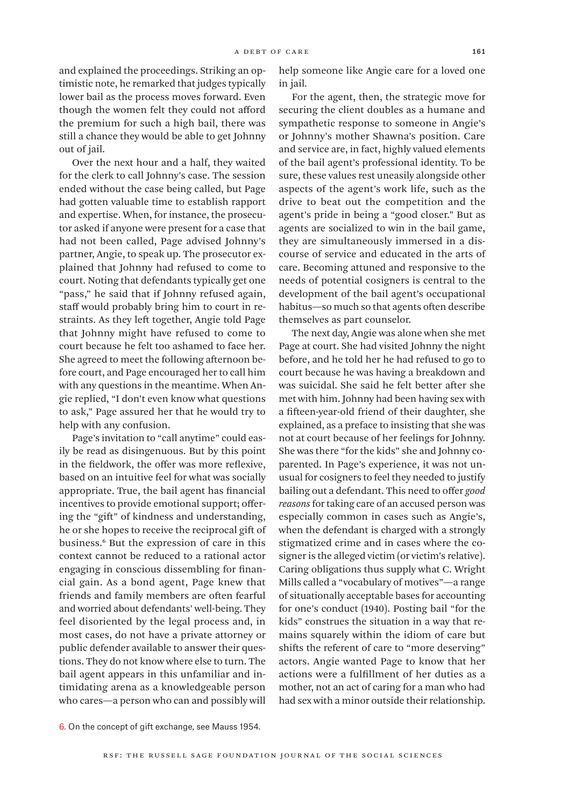and explained the proceedings. Striking an optimistic note, he remarked that judges typically lower bail as the process moves forward. Even though the women felt they could not afford the premium for such a high bail, there was still a chance they would be able to get Johnny out of jail.

Over the next hour and a half, they waited for the clerk to call Johnny's case. The session ended without the case being called, but Page had gotten valuable time to establish rapport and expertise. When, for instance, the prosecutor asked if anyone were present for a case that had not been called, Page advised Johnny's partner, Angie, to speak up. The prosecutor explained that Johnny had refused to come to court. Noting that defendants typically get one "pass," he said that if Johnny refused again, staff would probably bring him to court in restraints. As they left together, Angie told Page that Johnny might have refused to come to court because he felt too ashamed to face her. She agreed to meet the following afternoon before court, and Page encouraged her to call him with any questions in the meantime. When Angie replied, "I don't even know what questions to ask," Page assured her that he would try to help with any confusion.

Page's invitation to "call anytime" could easily be read as disingenuous. But by this point in the fieldwork, the offer was more reflexive, based on an intuitive feel for what was socially appropriate. True, the bail agent has financial incentives to provide emotional support; offering the "gift" of kindness and understanding, he or she hopes to receive the reciprocal gift of business.6 But the expression of care in this context cannot be reduced to a rational actor engaging in conscious dissembling for financial gain. As a bond agent, Page knew that friends and family members are often fearful and worried about defendants' well-being. They feel disoriented by the legal process and, in most cases, do not have a private attorney or public defender available to answer their questions. They do not know where else to turn. The bail agent appears in this unfamiliar and intimidating arena as a knowledgeable person who cares—a person who can and possibly will

help someone like Angie care for a loved one in jail.

For the agent, then, the strategic move for securing the client doubles as a humane and sympathetic response to someone in Angie's or Johnny's mother Shawna's position. Care and service are, in fact, highly valued elements of the bail agent's professional identity. To be sure, these values rest uneasily alongside other aspects of the agent's work life, such as the drive to beat out the competition and the agent's pride in being a "good closer." But as agents are socialized to win in the bail game, they are simultaneously immersed in a discourse of service and educated in the arts of care. Becoming attuned and responsive to the needs of potential cosigners is central to the development of the bail agent's occupational habitus—so much so that agents often describe themselves as part counselor.

The next day, Angie was alone when she met Page at court. She had visited Johnny the night before, and he told her he had refused to go to court because he was having a breakdown and was suicidal. She said he felt better after she met with him. Johnny had been having sex with a fifteen-year-old friend of their daughter, she explained, as a preface to insisting that she was not at court because of her feelings for Johnny. She was there "for the kids" she and Johnny coparented. In Page's experience, it was not unusual for cosigners to feel they needed to justify bailing out a defendant. This need to offer *good reasons* for taking care of an accused person was especially common in cases such as Angie's, when the defendant is charged with a strongly stigmatized crime and in cases where the cosigner is the alleged victim (or victim's relative). Caring obligations thus supply what C. Wright Mills called a "vocabulary of motives"—a range of situationally acceptable bases for accounting for one's conduct (1940). Posting bail "for the kids" construes the situation in a way that remains squarely within the idiom of care but shifts the referent of care to "more deserving" actors. Angie wanted Page to know that her actions were a fulfillment of her duties as a mother, not an act of caring for a man who had had sex with a minor outside their relationship.

<sup>6.</sup> On the concept of gift exchange, see Mauss 1954.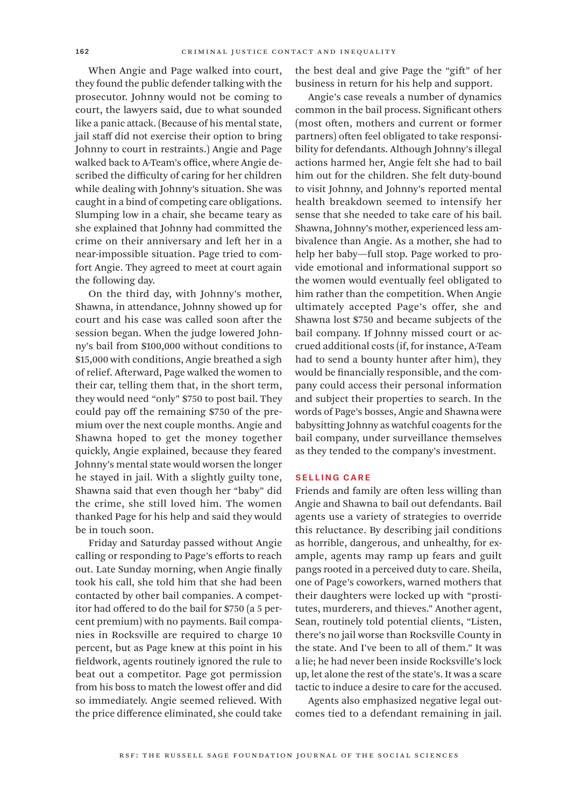When Angie and Page walked into court, they found the public defender talking with the prosecutor. Johnny would not be coming to court, the lawyers said, due to what sounded like a panic attack. (Because of his mental state, jail staff did not exercise their option to bring Johnny to court in restraints.) Angie and Page walked back to A-Team's office, where Angie described the difficulty of caring for her children while dealing with Johnny's situation. She was caught in a bind of competing care obligations. Slumping low in a chair, she became teary as she explained that Johnny had committed the crime on their anniversary and left her in a near-impossible situation. Page tried to comfort Angie. They agreed to meet at court again the following day.

On the third day, with Johnny's mother, Shawna, in attendance, Johnny showed up for court and his case was called soon after the session began. When the judge lowered Johnny's bail from \$100,000 without conditions to \$15,000 with conditions, Angie breathed a sigh of relief. Afterward, Page walked the women to their car, telling them that, in the short term, they would need "only" \$750 to post bail. They could pay off the remaining \$750 of the premium over the next couple months. Angie and Shawna hoped to get the money together quickly, Angie explained, because they feared Johnny's mental state would worsen the longer he stayed in jail. With a slightly guilty tone, Shawna said that even though her "baby" did the crime, she still loved him. The women thanked Page for his help and said they would be in touch soon.

Friday and Saturday passed without Angie calling or responding to Page's efforts to reach out. Late Sunday morning, when Angie finally took his call, she told him that she had been contacted by other bail companies. A competitor had offered to do the bail for \$750 (a 5 percent premium) with no payments. Bail companies in Rocksville are required to charge 10 percent, but as Page knew at this point in his fieldwork, agents routinely ignored the rule to beat out a competitor. Page got permission from his boss to match the lowest offer and did so immediately. Angie seemed relieved. With the price difference eliminated, she could take

the best deal and give Page the "gift" of her business in return for his help and support.

Angie's case reveals a number of dynamics common in the bail process. Significant others (most often, mothers and current or former partners) often feel obligated to take responsibility for defendants. Although Johnny's illegal actions harmed her, Angie felt she had to bail him out for the children. She felt duty-bound to visit Johnny, and Johnny's reported mental health breakdown seemed to intensify her sense that she needed to take care of his bail. Shawna, Johnny's mother, experienced less ambivalence than Angie. As a mother, she had to help her baby—full stop. Page worked to provide emotional and informational support so the women would eventually feel obligated to him rather than the competition. When Angie ultimately accepted Page's offer, she and Shawna lost \$750 and became subjects of the bail company. If Johnny missed court or accrued additional costs (if, for instance, A-Team had to send a bounty hunter after him), they would be financially responsible, and the company could access their personal information and subject their properties to search. In the words of Page's bosses, Angie and Shawna were babysitting Johnny as watchful coagents for the bail company, under surveillance themselves as they tended to the company's investment.

#### Selling Care

Friends and family are often less willing than Angie and Shawna to bail out defendants. Bail agents use a variety of strategies to override this reluctance. By describing jail conditions as horrible, dangerous, and unhealthy, for example, agents may ramp up fears and guilt pangs rooted in a perceived duty to care. Sheila, one of Page's coworkers, warned mothers that their daughters were locked up with "prostitutes, murderers, and thieves." Another agent, Sean, routinely told potential clients, "Listen, there's no jail worse than Rocksville County in the state. And I've been to all of them." It was a lie; he had never been inside Rocksville's lock up, let alone the rest of the state's. It was a scare tactic to induce a desire to care for the accused.

Agents also emphasized negative legal outcomes tied to a defendant remaining in jail.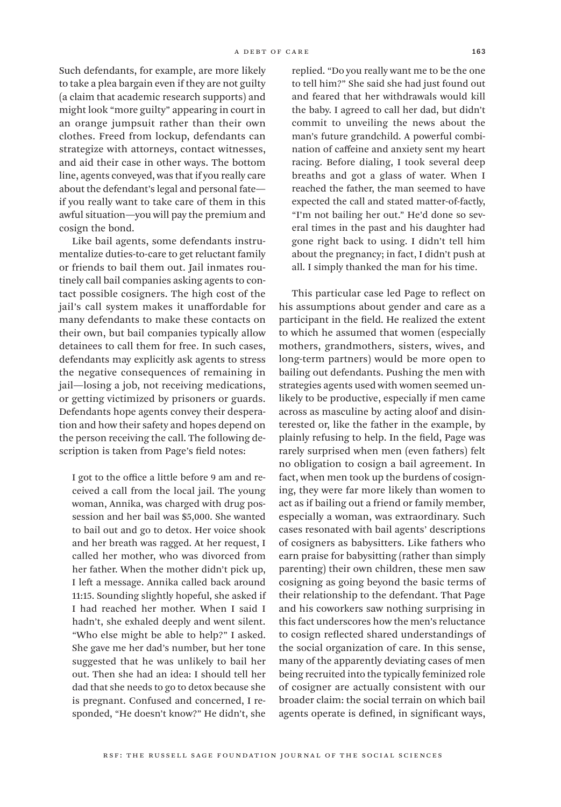Such defendants, for example, are more likely to take a plea bargain even if they are not guilty (a claim that academic research supports) and might look "more guilty" appearing in court in an orange jumpsuit rather than their own clothes. Freed from lockup, defendants can strategize with attorneys, contact witnesses, and aid their case in other ways. The bottom line, agents conveyed, was that if you really care about the defendant's legal and personal fate if you really want to take care of them in this awful situation—you will pay the premium and cosign the bond.

Like bail agents, some defendants instrumentalize duties-to-care to get reluctant family or friends to bail them out. Jail inmates routinely call bail companies asking agents to contact possible cosigners. The high cost of the jail's call system makes it unaffordable for many defendants to make these contacts on their own, but bail companies typically allow detainees to call them for free. In such cases, defendants may explicitly ask agents to stress the negative consequences of remaining in jail—losing a job, not receiving medications, or getting victimized by prisoners or guards. Defendants hope agents convey their desperation and how their safety and hopes depend on the person receiving the call. The following description is taken from Page's field notes:

I got to the office a little before 9 am and received a call from the local jail. The young woman, Annika, was charged with drug possession and her bail was \$5,000. She wanted to bail out and go to detox. Her voice shook and her breath was ragged. At her request, I called her mother, who was divorced from her father. When the mother didn't pick up, I left a message. Annika called back around 11:15. Sounding slightly hopeful, she asked if I had reached her mother. When I said I hadn't, she exhaled deeply and went silent. "Who else might be able to help?" I asked. She gave me her dad's number, but her tone suggested that he was unlikely to bail her out. Then she had an idea: I should tell her dad that she needs to go to detox because she is pregnant. Confused and concerned, I responded, "He doesn't know?" He didn't, she

replied. "Do you really want me to be the one to tell him?" She said she had just found out and feared that her withdrawals would kill the baby. I agreed to call her dad, but didn't commit to unveiling the news about the man's future grandchild. A powerful combination of caffeine and anxiety sent my heart racing. Before dialing, I took several deep breaths and got a glass of water. When I reached the father, the man seemed to have expected the call and stated matter-of-factly, "I'm not bailing her out." He'd done so several times in the past and his daughter had gone right back to using. I didn't tell him about the pregnancy; in fact, I didn't push at all. I simply thanked the man for his time.

This particular case led Page to reflect on his assumptions about gender and care as a participant in the field. He realized the extent to which he assumed that women (especially mothers, grandmothers, sisters, wives, and long-term partners) would be more open to bailing out defendants. Pushing the men with strategies agents used with women seemed unlikely to be productive, especially if men came across as masculine by acting aloof and disinterested or, like the father in the example, by plainly refusing to help. In the field, Page was rarely surprised when men (even fathers) felt no obligation to cosign a bail agreement. In fact, when men took up the burdens of cosigning, they were far more likely than women to act as if bailing out a friend or family member, especially a woman, was extraordinary. Such cases resonated with bail agents' descriptions of cosigners as babysitters. Like fathers who earn praise for babysitting (rather than simply parenting) their own children, these men saw cosigning as going beyond the basic terms of their relationship to the defendant. That Page and his coworkers saw nothing surprising in this fact underscores how the men's reluctance to cosign reflected shared understandings of the social organization of care. In this sense, many of the apparently deviating cases of men being recruited into the typically feminized role of cosigner are actually consistent with our broader claim: the social terrain on which bail agents operate is defined, in significant ways,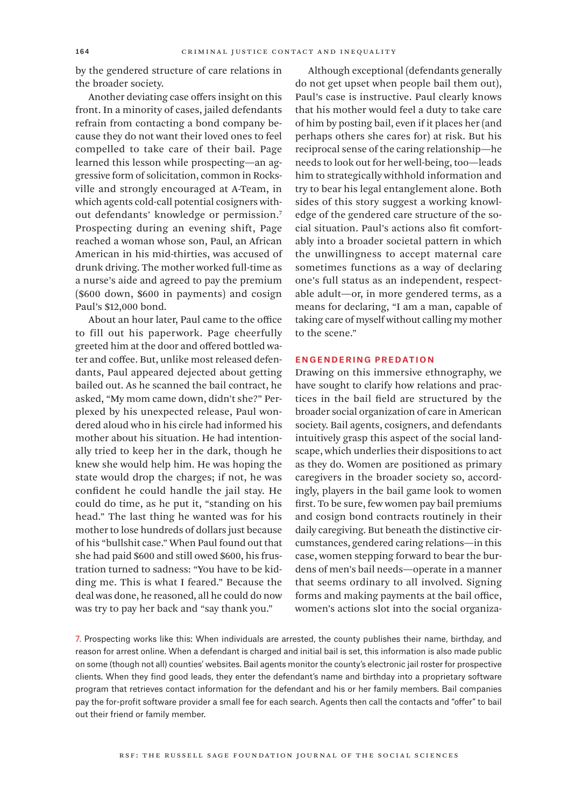by the gendered structure of care relations in the broader society.

Another deviating case offers insight on this front. In a minority of cases, jailed defendants refrain from contacting a bond company because they do not want their loved ones to feel compelled to take care of their bail. Page learned this lesson while prospecting—an aggressive form of solicitation, common in Rocksville and strongly encouraged at A-Team, in which agents cold-call potential cosigners without defendants' knowledge or permission.7 Prospecting during an evening shift, Page reached a woman whose son, Paul, an African American in his mid-thirties, was accused of drunk driving. The mother worked full-time as a nurse's aide and agreed to pay the premium (\$600 down, \$600 in payments) and cosign Paul's \$12,000 bond.

About an hour later, Paul came to the office to fill out his paperwork. Page cheerfully greeted him at the door and offered bottled water and coffee. But, unlike most released defendants, Paul appeared dejected about getting bailed out. As he scanned the bail contract, he asked, "My mom came down, didn't she?" Perplexed by his unexpected release, Paul wondered aloud who in his circle had informed his mother about his situation. He had intentionally tried to keep her in the dark, though he knew she would help him. He was hoping the state would drop the charges; if not, he was confident he could handle the jail stay. He could do time, as he put it, "standing on his head." The last thing he wanted was for his mother to lose hundreds of dollars just because of his "bullshit case." When Paul found out that she had paid \$600 and still owed \$600, his frustration turned to sadness: "You have to be kidding me. This is what I feared." Because the deal was done, he reasoned, all he could do now was try to pay her back and "say thank you."

Although exceptional (defendants generally do not get upset when people bail them out), Paul's case is instructive. Paul clearly knows that his mother would feel a duty to take care of him by posting bail, even if it places her (and perhaps others she cares for) at risk. But his reciprocal sense of the caring relationship—he needs to look out for her well-being, too—leads him to strategically withhold information and try to bear his legal entanglement alone. Both sides of this story suggest a working knowledge of the gendered care structure of the social situation. Paul's actions also fit comfortably into a broader societal pattern in which the unwillingness to accept maternal care sometimes functions as a way of declaring one's full status as an independent, respectable adult—or, in more gendered terms, as a means for declaring, "I am a man, capable of taking care of myself without calling my mother to the scene."

#### Engendering Predation

Drawing on this immersive ethnography, we have sought to clarify how relations and practices in the bail field are structured by the broader social organization of care in American society. Bail agents, cosigners, and defendants intuitively grasp this aspect of the social landscape, which underlies their dispositions to act as they do. Women are positioned as primary caregivers in the broader society so, accordingly, players in the bail game look to women first. To be sure, few women pay bail premiums and cosign bond contracts routinely in their daily caregiving. But beneath the distinctive circumstances, gendered caring relations—in this case, women stepping forward to bear the burdens of men's bail needs—operate in a manner that seems ordinary to all involved. Signing forms and making payments at the bail office, women's actions slot into the social organiza-

7. Prospecting works like this: When individuals are arrested, the county publishes their name, birthday, and reason for arrest online. When a defendant is charged and initial bail is set, this information is also made public on some (though not all) counties' websites. Bail agents monitor the county's electronic jail roster for prospective clients. When they find good leads, they enter the defendant's name and birthday into a proprietary software program that retrieves contact information for the defendant and his or her family members. Bail companies pay the for-profit software provider a small fee for each search. Agents then call the contacts and "offer" to bail out their friend or family member.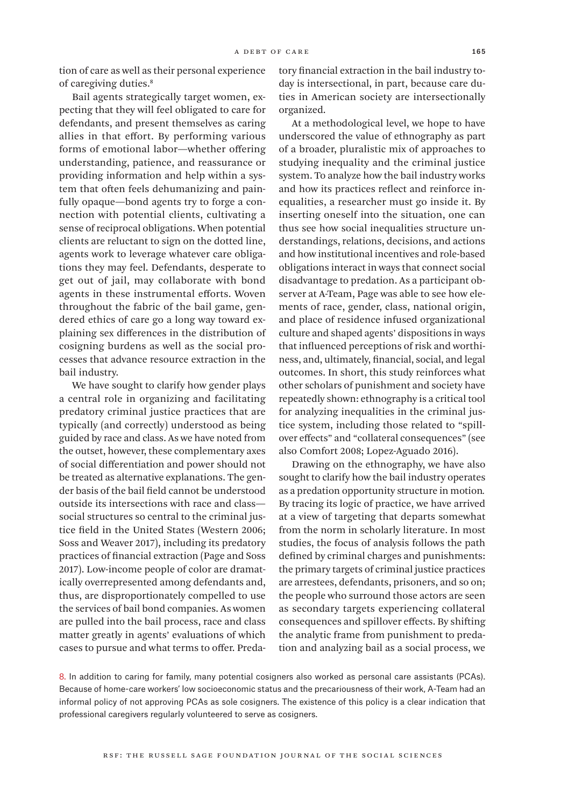tion of care as well as their personal experience of caregiving duties.8

Bail agents strategically target women, expecting that they will feel obligated to care for defendants, and present themselves as caring allies in that effort. By performing various forms of emotional labor—whether offering understanding, patience, and reassurance or providing information and help within a system that often feels dehumanizing and painfully opaque—bond agents try to forge a connection with potential clients, cultivating a sense of reciprocal obligations. When potential clients are reluctant to sign on the dotted line, agents work to leverage whatever care obligations they may feel. Defendants, desperate to get out of jail, may collaborate with bond agents in these instrumental efforts. Woven throughout the fabric of the bail game, gendered ethics of care go a long way toward explaining sex differences in the distribution of cosigning burdens as well as the social processes that advance resource extraction in the bail industry.

We have sought to clarify how gender plays a central role in organizing and facilitating predatory criminal justice practices that are typically (and correctly) understood as being guided by race and class. As we have noted from the outset, however, these complementary axes of social differentiation and power should not be treated as alternative explanations. The gender basis of the bail field cannot be understood outside its intersections with race and class social structures so central to the criminal justice field in the United States (Western 2006; Soss and Weaver 2017), including its predatory practices of financial extraction (Page and Soss 2017). Low-income people of color are dramatically overrepresented among defendants and, thus, are disproportionately compelled to use the services of bail bond companies. As women are pulled into the bail process, race and class matter greatly in agents' evaluations of which cases to pursue and what terms to offer. Predatory financial extraction in the bail industry today is intersectional, in part, because care duties in American society are intersectionally organized.

At a methodological level, we hope to have underscored the value of ethnography as part of a broader, pluralistic mix of approaches to studying inequality and the criminal justice system. To analyze how the bail industry works and how its practices reflect and reinforce inequalities, a researcher must go inside it. By inserting oneself into the situation, one can thus see how social inequalities structure understandings, relations, decisions, and actions and how institutional incentives and role-based obligations interact in ways that connect social disadvantage to predation. As a participant observer at A-Team, Page was able to see how elements of race, gender, class, national origin, and place of residence infused organizational culture and shaped agents' dispositions in ways that influenced perceptions of risk and worthiness, and, ultimately, financial, social, and legal outcomes. In short, this study reinforces what other scholars of punishment and society have repeatedly shown: ethnography is a critical tool for analyzing inequalities in the criminal justice system, including those related to "spillover effects" and "collateral consequences" (see also Comfort 2008; Lopez-Aguado 2016).

Drawing on the ethnography, we have also sought to clarify how the bail industry operates as a predation opportunity structure in motion*.*  By tracing its logic of practice, we have arrived at a view of targeting that departs somewhat from the norm in scholarly literature. In most studies, the focus of analysis follows the path defined by criminal charges and punishments: the primary targets of criminal justice practices are arrestees, defendants, prisoners, and so on; the people who surround those actors are seen as secondary targets experiencing collateral consequences and spillover effects. By shifting the analytic frame from punishment to predation and analyzing bail as a social process, we

8. In addition to caring for family, many potential cosigners also worked as personal care assistants (PCAs). Because of home-care workers' low socioeconomic status and the precariousness of their work, A-Team had an informal policy of not approving PCAs as sole cosigners. The existence of this policy is a clear indication that professional caregivers regularly volunteered to serve as cosigners.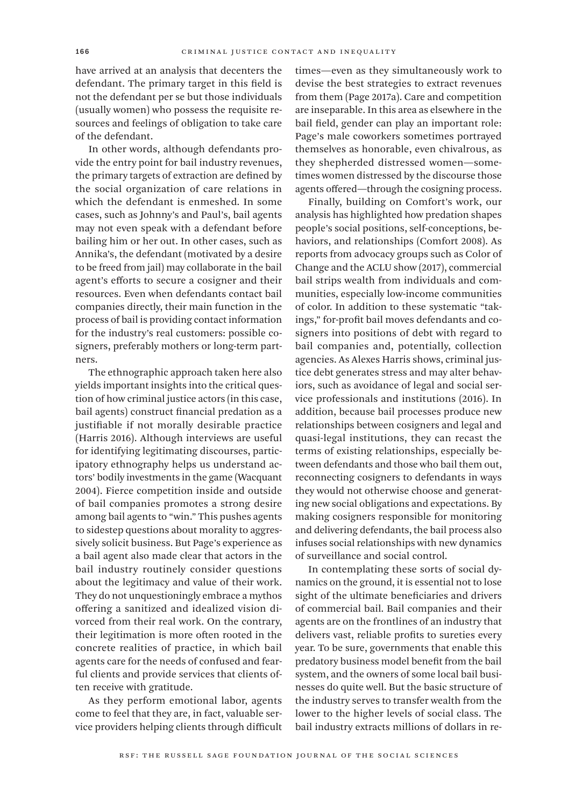have arrived at an analysis that decenters the defendant. The primary target in this field is not the defendant per se but those individuals (usually women) who possess the requisite resources and feelings of obligation to take care of the defendant.

In other words, although defendants provide the entry point for bail industry revenues, the primary targets of extraction are defined by the social organization of care relations in which the defendant is enmeshed. In some cases, such as Johnny's and Paul's, bail agents may not even speak with a defendant before bailing him or her out. In other cases, such as Annika's, the defendant (motivated by a desire to be freed from jail) may collaborate in the bail agent's efforts to secure a cosigner and their resources. Even when defendants contact bail companies directly, their main function in the process of bail is providing contact information for the industry's real customers: possible cosigners, preferably mothers or long-term partners.

The ethnographic approach taken here also yields important insights into the critical question of how criminal justice actors (in this case, bail agents) construct financial predation as a justifiable if not morally desirable practice (Harris 2016). Although interviews are useful for identifying legitimating discourses, participatory ethnography helps us understand actors' bodily investments in the game (Wacquant 2004). Fierce competition inside and outside of bail companies promotes a strong desire among bail agents to "win." This pushes agents to sidestep questions about morality to aggressively solicit business. But Page's experience as a bail agent also made clear that actors in the bail industry routinely consider questions about the legitimacy and value of their work. They do not unquestioningly embrace a mythos offering a sanitized and idealized vision divorced from their real work. On the contrary, their legitimation is more often rooted in the concrete realities of practice, in which bail agents care for the needs of confused and fearful clients and provide services that clients often receive with gratitude.

As they perform emotional labor, agents come to feel that they are, in fact, valuable service providers helping clients through difficult times—even as they simultaneously work to devise the best strategies to extract revenues from them (Page 2017a). Care and competition are inseparable. In this area as elsewhere in the bail field, gender can play an important role: Page's male coworkers sometimes portrayed themselves as honorable, even chivalrous, as they shepherded distressed women—sometimes women distressed by the discourse those agents offered—through the cosigning process.

Finally, building on Comfort's work, our analysis has highlighted how predation shapes people's social positions, self-conceptions, behaviors, and relationships (Comfort 2008). As reports from advocacy groups such as Color of Change and the ACLU show (2017), commercial bail strips wealth from individuals and communities, especially low-income communities of color. In addition to these systematic "takings," for-profit bail moves defendants and cosigners into positions of debt with regard to bail companies and, potentially, collection agencies. As Alexes Harris shows, criminal justice debt generates stress and may alter behaviors, such as avoidance of legal and social service professionals and institutions (2016). In addition, because bail processes produce new relationships between cosigners and legal and quasi-legal institutions, they can recast the terms of existing relationships, especially between defendants and those who bail them out, reconnecting cosigners to defendants in ways they would not otherwise choose and generating new social obligations and expectations. By making cosigners responsible for monitoring and delivering defendants, the bail process also infuses social relationships with new dynamics of surveillance and social control.

In contemplating these sorts of social dynamics on the ground, it is essential not to lose sight of the ultimate beneficiaries and drivers of commercial bail. Bail companies and their agents are on the frontlines of an industry that delivers vast, reliable profits to sureties every year. To be sure, governments that enable this predatory business model benefit from the bail system, and the owners of some local bail businesses do quite well. But the basic structure of the industry serves to transfer wealth from the lower to the higher levels of social class. The bail industry extracts millions of dollars in re-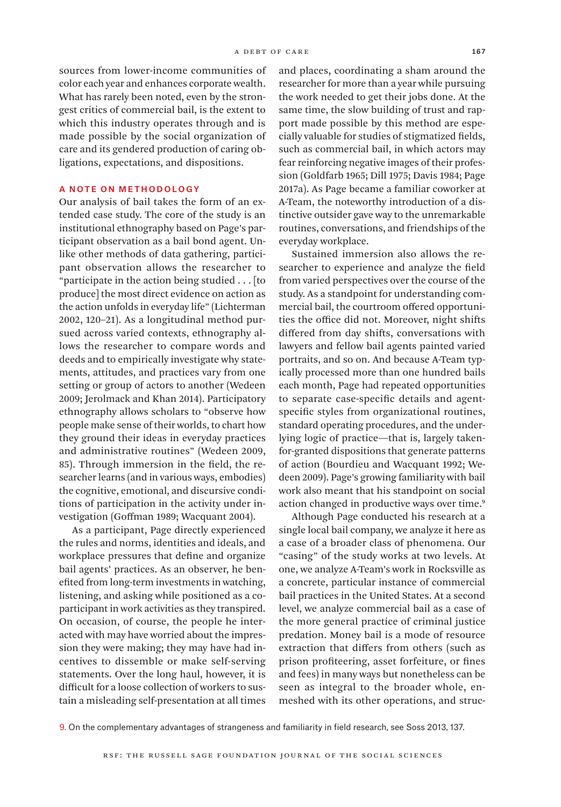sources from lower-income communities of color each year and enhances corporate wealth. What has rarely been noted, even by the strongest critics of commercial bail, is the extent to which this industry operates through and is made possible by the social organization of care and its gendered production of caring obligations, expectations, and dispositions.

#### A Note on Methodology

Our analysis of bail takes the form of an extended case study. The core of the study is an institutional ethnography based on Page's participant observation as a bail bond agent. Unlike other methods of data gathering, participant observation allows the researcher to "participate in the action being studied . . . [to produce] the most direct evidence on action as the action unfolds in everyday life" (Lichterman 2002, 120–21). As a longitudinal method pursued across varied contexts, ethnography allows the researcher to compare words and deeds and to empirically investigate why statements, attitudes, and practices vary from one setting or group of actors to another (Wedeen 2009; Jerolmack and Khan 2014). Participatory ethnography allows scholars to "observe how people make sense of their worlds, to chart how they ground their ideas in everyday practices and administrative routines" (Wedeen 2009, 85). Through immersion in the field, the researcher learns (and in various ways, embodies) the cognitive, emotional, and discursive conditions of participation in the activity under investigation (Goffman 1989; Wacquant 2004).

As a participant, Page directly experienced the rules and norms, identities and ideals, and workplace pressures that define and organize bail agents' practices. As an observer, he benefited from long-term investments in watching, listening, and asking while positioned as a coparticipant in work activities as they transpired. On occasion, of course, the people he interacted with may have worried about the impression they were making; they may have had incentives to dissemble or make self-serving statements. Over the long haul, however, it is difficult for a loose collection of workers to sustain a misleading self-presentation at all times and places, coordinating a sham around the researcher for more than a year while pursuing the work needed to get their jobs done. At the same time, the slow building of trust and rapport made possible by this method are especially valuable for studies of stigmatized fields, such as commercial bail, in which actors may fear reinforcing negative images of their profession (Goldfarb 1965; Dill 1975; Davis 1984; Page 2017a). As Page became a familiar coworker at A-Team, the noteworthy introduction of a distinctive outsider gave way to the unremarkable routines, conversations, and friendships of the everyday workplace.

Sustained immersion also allows the researcher to experience and analyze the field from varied perspectives over the course of the study. As a standpoint for understanding commercial bail, the courtroom offered opportunities the office did not. Moreover, night shifts differed from day shifts, conversations with lawyers and fellow bail agents painted varied portraits, and so on. And because A-Team typically processed more than one hundred bails each month, Page had repeated opportunities to separate case-specific details and agentspecific styles from organizational routines, standard operating procedures, and the underlying logic of practice—that is, largely takenfor-granted dispositions that generate patterns of action (Bourdieu and Wacquant 1992; Wedeen 2009). Page's growing familiarity with bail work also meant that his standpoint on social action changed in productive ways over time.<sup>9</sup>

Although Page conducted his research at a single local bail company, we analyze it here as a case of a broader class of phenomena. Our "casing" of the study works at two levels. At one, we analyze A-Team's work in Rocksville as a concrete, particular instance of commercial bail practices in the United States. At a second level, we analyze commercial bail as a case of the more general practice of criminal justice predation. Money bail is a mode of resource extraction that differs from others (such as prison profiteering, asset forfeiture, or fines and fees) in many ways but nonetheless can be seen as integral to the broader whole, enmeshed with its other operations, and struc-

9. On the complementary advantages of strangeness and familiarity in field research, see Soss 2013, 137.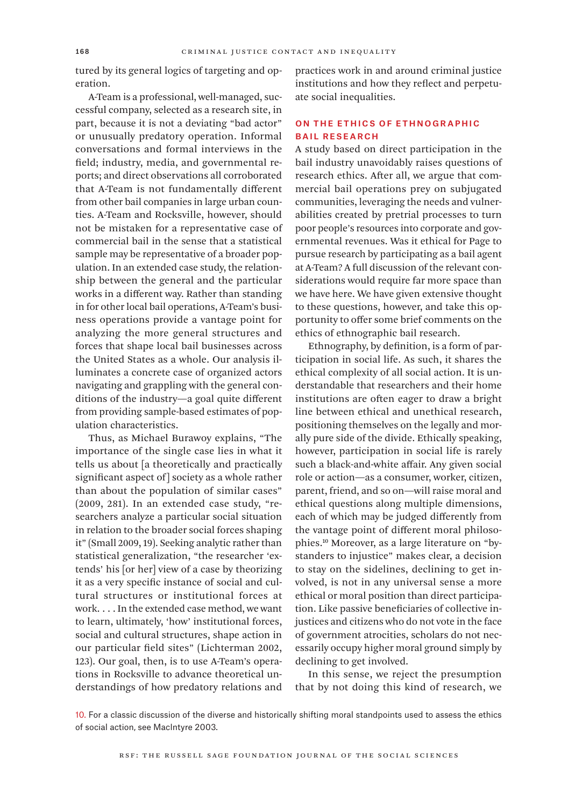tured by its general logics of targeting and operation.

A-Team is a professional, well-managed, successful company, selected as a research site, in part, because it is not a deviating "bad actor" or unusually predatory operation. Informal conversations and formal interviews in the field; industry, media, and governmental reports; and direct observations all corroborated that A-Team is not fundamentally different from other bail companies in large urban counties. A-Team and Rocksville, however, should not be mistaken for a representative case of commercial bail in the sense that a statistical sample may be representative of a broader population. In an extended case study, the relationship between the general and the particular works in a different way. Rather than standing in for other local bail operations, A-Team's business operations provide a vantage point for analyzing the more general structures and forces that shape local bail businesses across the United States as a whole. Our analysis illuminates a concrete case of organized actors navigating and grappling with the general conditions of the industry—a goal quite different from providing sample-based estimates of population characteristics.

Thus, as Michael Burawoy explains, "The importance of the single case lies in what it tells us about [a theoretically and practically significant aspect of] society as a whole rather than about the population of similar cases" (2009, 281). In an extended case study, "researchers analyze a particular social situation in relation to the broader social forces shaping it" (Small 2009, 19). Seeking analytic rather than statistical generalization, "the researcher 'extends' his [or her] view of a case by theorizing it as a very specific instance of social and cultural structures or institutional forces at work. . . . In the extended case method, we want to learn, ultimately, 'how' institutional forces, social and cultural structures, shape action in our particular field sites" (Lichterman 2002, 123). Our goal, then, is to use A-Team's operations in Rocksville to advance theoretical understandings of how predatory relations and

practices work in and around criminal justice institutions and how they reflect and perpetuate social inequalities.

#### On the Ethics of Ethnographic Bail Research

A study based on direct participation in the bail industry unavoidably raises questions of research ethics. After all, we argue that commercial bail operations prey on subjugated communities, leveraging the needs and vulnerabilities created by pretrial processes to turn poor people's resources into corporate and governmental revenues. Was it ethical for Page to pursue research by participating as a bail agent at A-Team? A full discussion of the relevant considerations would require far more space than we have here. We have given extensive thought to these questions, however, and take this opportunity to offer some brief comments on the ethics of ethnographic bail research.

Ethnography, by definition, is a form of participation in social life. As such, it shares the ethical complexity of all social action. It is understandable that researchers and their home institutions are often eager to draw a bright line between ethical and unethical research, positioning themselves on the legally and morally pure side of the divide. Ethically speaking, however, participation in social life is rarely such a black-and-white affair. Any given social role or action—as a consumer, worker, citizen, parent, friend, and so on—will raise moral and ethical questions along multiple dimensions, each of which may be judged differently from the vantage point of different moral philosophies.10 Moreover, as a large literature on "bystanders to injustice" makes clear, a decision to stay on the sidelines, declining to get involved, is not in any universal sense a more ethical or moral position than direct participation. Like passive beneficiaries of collective injustices and citizens who do not vote in the face of government atrocities, scholars do not necessarily occupy higher moral ground simply by declining to get involved.

In this sense, we reject the presumption that by not doing this kind of research, we

10. For a classic discussion of the diverse and historically shifting moral standpoints used to assess the ethics of social action, see MacIntyre 2003.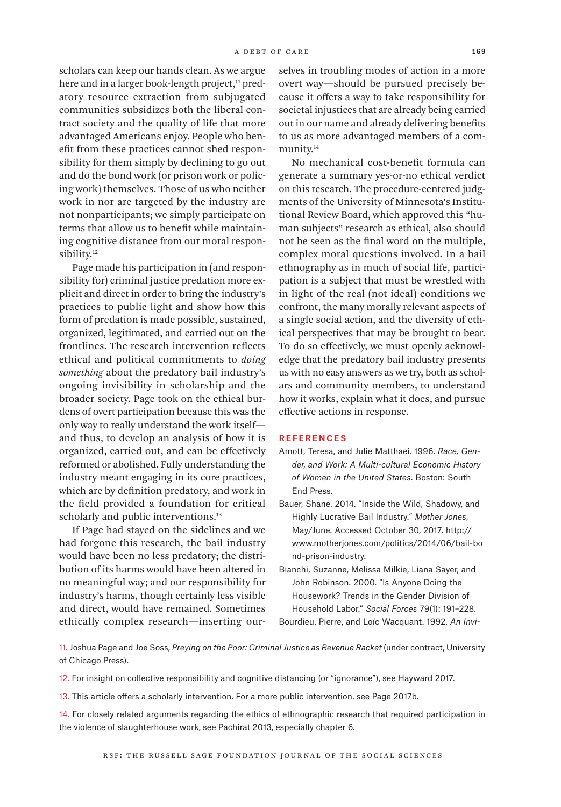scholars can keep our hands clean. As we argue here and in a larger book-length project,<sup>11</sup> predatory resource extraction from subjugated communities subsidizes both the liberal contract society and the quality of life that more advantaged Americans enjoy. People who benefit from these practices cannot shed responsibility for them simply by declining to go out and do the bond work (or prison work or policing work) themselves. Those of us who neither work in nor are targeted by the industry are not nonparticipants; we simply participate on terms that allow us to benefit while maintaining cognitive distance from our moral responsibility.<sup>12</sup>

Page made his participation in (and responsibility for) criminal justice predation more explicit and direct in order to bring the industry's practices to public light and show how this form of predation is made possible, sustained, organized, legitimated, and carried out on the frontlines. The research intervention reflects ethical and political commitments to *doing something* about the predatory bail industry's ongoing invisibility in scholarship and the broader society. Page took on the ethical burdens of overt participation because this was the only way to really understand the work itself and thus, to develop an analysis of how it is organized, carried out, and can be effectively reformed or abolished. Fully understanding the industry meant engaging in its core practices, which are by definition predatory, and work in the field provided a foundation for critical scholarly and public interventions.<sup>13</sup>

If Page had stayed on the sidelines and we had forgone this research, the bail industry would have been no less predatory; the distribution of its harms would have been altered in no meaningful way; and our responsibility for industry's harms, though certainly less visible and direct, would have remained. Sometimes ethically complex research—inserting ourselves in troubling modes of action in a more overt way—should be pursued precisely because it offers a way to take responsibility for societal injustices that are already being carried out in our name and already delivering benefits to us as more advantaged members of a community.14

No mechanical cost-benefit formula can generate a summary yes-or-no ethical verdict on this research. The procedure-centered judgments of the University of Minnesota's Institutional Review Board, which approved this "human subjects" research as ethical, also should not be seen as the final word on the multiple, complex moral questions involved. In a bail ethnography as in much of social life, participation is a subject that must be wrestled with in light of the real (not ideal) conditions we confront, the many morally relevant aspects of a single social action, and the diversity of ethical perspectives that may be brought to bear. To do so effectively, we must openly acknowledge that the predatory bail industry presents us with no easy answers as we try, both as scholars and community members, to understand how it works, explain what it does, and pursue effective actions in response.

#### **REFERENCES**

- Amott, Teresa, and Julie Matthaei. 1996. *Race, Gender, and Work: A Multi-cultural Economic History of Women in the United States*. Boston: South End Press.
- Bauer, Shane. 2014. "Inside the Wild, Shadowy, and Highly Lucrative Bail Industry." *Mother Jones*, May/June. Accessed October 30, 2017. [http://](http://www.motherjones.com/politics/2014/06/bail-bond-prison-industry) [www.motherjones.com/politics/2014/06/bail-bo](http://www.motherjones.com/politics/2014/06/bail-bond-prison-industry) [nd-prison-industry.](http://www.motherjones.com/politics/2014/06/bail-bond-prison-industry)
- Bianchi, Suzanne, Melissa Milkie, Liana Sayer, and John Robinson. 2000. "Is Anyone Doing the Housework? Trends in the Gender Division of Household Labor." *Social Forces* 79(1): 191–228.

Bourdieu, Pierre, and Loïc Wacquant. 1992. *An Invi-*

11. Joshua Page and Joe Soss, *Preying on the Poor: Criminal Justice as Revenue Racket* (under contract, University of Chicago Press).

12. For insight on collective responsibility and cognitive distancing (or "ignorance"), see Hayward 2017.

13. This article offers a scholarly intervention. For a more public intervention, see Page 2017b.

14. For closely related arguments regarding the ethics of ethnographic research that required participation in the violence of slaughterhouse work, see Pachirat 2013, especially chapter 6.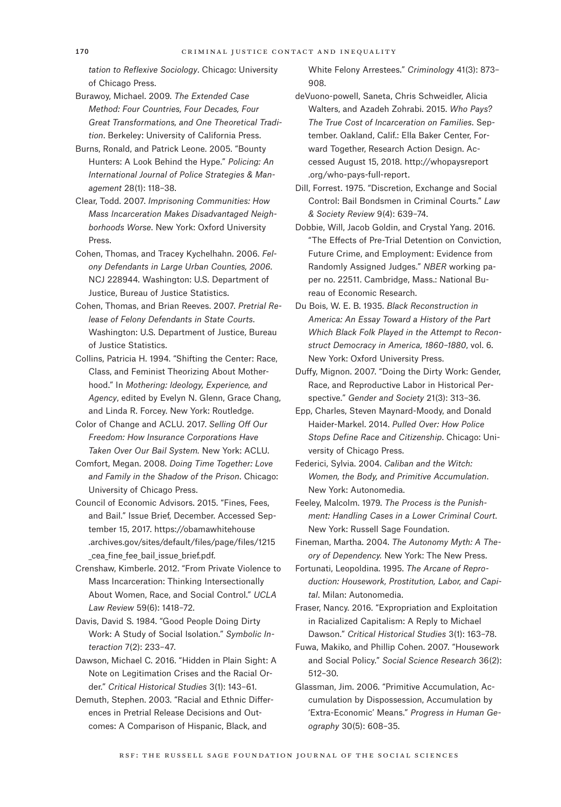*tation to Reflexive Sociology*. Chicago: University of Chicago Press.

- Burawoy, Michael. 2009. *The Extended Case Method: Four Countries, Four Decades, Four Great Transformations, and One Theoretical Tradition*. Berkeley: University of California Press.
- Burns, Ronald, and Patrick Leone. 2005. "Bounty Hunters: A Look Behind the Hype." *Policing: An International Journal of Police Strategies & Management* 28(1): 118–38.
- Clear, Todd. 2007. *Imprisoning Communities: How Mass Incarceration Makes Disadvantaged Neighborhoods Worse*. New York: Oxford University Press.
- Cohen, Thomas, and Tracey Kychelhahn. 2006. *Felony Defendants in Large Urban Counties, 2006*. NCJ 228944. Washington: U.S. Department of Justice, Bureau of Justice Statistics.
- Cohen, Thomas, and Brian Reeves. 2007. *Pretrial Release of Felony Defendants in State Courts*. Washington: U.S. Department of Justice, Bureau of Justice Statistics.
- Collins, Patricia H. 1994. "Shifting the Center: Race, Class, and Feminist Theorizing About Motherhood." In *Mothering: Ideology, Experience, and Agency*, edited by Evelyn N. Glenn, Grace Chang, and Linda R. Forcey. New York: Routledge.
- Color of Change and ACLU. 2017. *Selling Off Our Freedom: How Insurance Corporations Have Taken Over Our Bail System.* New York: ACLU.
- Comfort, Megan. 2008. *Doing Time Together: Love and Family in the Shadow of the Prison*. Chicago: University of Chicago Press.
- Council of Economic Advisors. 2015. "Fines, Fees, and Bail." Issue Brief, December. Accessed September 15, 2017. [https://obamawhitehouse](https://obamawhitehouse.archives.gov/sites/default/files/page/files/1215_cea_fine_fee_bail_issue_brief.pdf) [.archives.gov/sites/default/files/page/files/1215](https://obamawhitehouse.archives.gov/sites/default/files/page/files/1215_cea_fine_fee_bail_issue_brief.pdf) [\\_cea\\_fine\\_fee\\_bail\\_issue\\_brief.pdf](https://obamawhitehouse.archives.gov/sites/default/files/page/files/1215_cea_fine_fee_bail_issue_brief.pdf).
- Crenshaw, Kimberle. 2012. "From Private Violence to Mass Incarceration: Thinking Intersectionally About Women, Race, and Social Control." *UCLA Law Review* 59(6): 1418–72.
- Davis, David S. 1984. "Good People Doing Dirty Work: A Study of Social Isolation." *Symbolic Interaction* 7(2): 233–47.
- Dawson, Michael C. 2016. "Hidden in Plain Sight: A Note on Legitimation Crises and the Racial Order." *Critical Historical Studies* 3(1): 143–61.
- Demuth, Stephen. 2003. "Racial and Ethnic Differences in Pretrial Release Decisions and Outcomes: A Comparison of Hispanic, Black, and

White Felony Arrestees." *Criminology* 41(3): 873– 908.

- deVuono-powell, Saneta, Chris Schweidler, Alicia Walters, and Azadeh Zohrabi. 2015. *Who Pays? The True Cost of Incarceration on Families*. September. Oakland, Calif.: Ella Baker Center, Forward Together, Research Action Design. Accessed August 15, 2018. [http://whopaysreport](http://whopaysreport.org/who-pays-full-report) [.org/who-pays-full-report](http://whopaysreport.org/who-pays-full-report).
- Dill, Forrest. 1975. "Discretion, Exchange and Social Control: Bail Bondsmen in Criminal Courts." *Law & Society Review* 9(4): 639–74.
- Dobbie, Will, Jacob Goldin, and Crystal Yang. 2016. "The Effects of Pre-Trial Detention on Conviction, Future Crime, and Employment: Evidence from Randomly Assigned Judges." *NBER* working paper no. 22511. Cambridge, Mass.: National Bureau of Economic Research.
- Du Bois, W. E. B. 1935. *Black Reconstruction in America: An Essay Toward a History of the Part Which Black Folk Played in the Attempt to Reconstruct Democracy in America, 1860–1880*, vol. 6. New York: Oxford University Press.
- Duffy, Mignon. 2007. "Doing the Dirty Work: Gender, Race, and Reproductive Labor in Historical Perspective." *Gender and Society* 21(3): 313–36.
- Epp, Charles, Steven Maynard-Moody, and Donald Haider-Markel. 2014. *Pulled Over: How Police Stops Define Race and Citizenship*. Chicago: University of Chicago Press.
- Federici, Sylvia. 2004. *Caliban and the Witch: Women, the Body, and Primitive Accumulation*. New York: Autonomedia.
- Feeley, Malcolm. 1979. *The Process is the Punishment: Handling Cases in a Lower Criminal Court*. New York: Russell Sage Foundation.
- Fineman, Martha. 2004. *The Autonomy Myth: A Theory of Dependency.* New York: The New Press.
- Fortunati, Leopoldina. 1995. *The Arcane of Reproduction: Housework, Prostitution, Labor, and Capital*. Milan: Autonomedia.
- Fraser, Nancy. 2016. "Expropriation and Exploitation in Racialized Capitalism: A Reply to Michael Dawson." *Critical Historical Studies* 3(1): 163–78.
- Fuwa, Makiko, and Phillip Cohen. 2007. "Housework and Social Policy." *Social Science Research* 36(2): 512–30.
- Glassman, Jim. 2006. "Primitive Accumulation, Accumulation by Dispossession, Accumulation by 'Extra-Economic' Means." *Progress in Human Geography* 30(5): 608–35.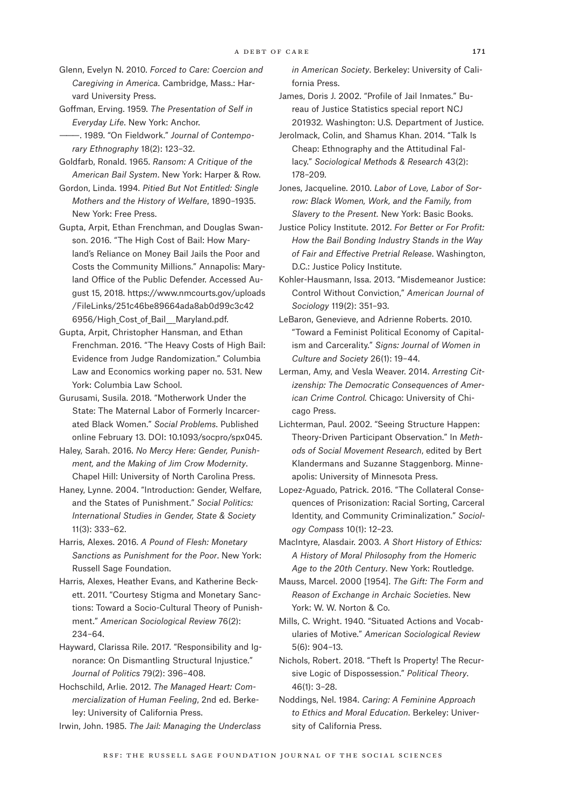- Glenn, Evelyn N. 2010. *Forced to Care: Coercion and Caregiving in America*. Cambridge, Mass.: Harvard University Press.
- Goffman, Erving. 1959. *The Presentation of Self in Everyday Life*. New York: Anchor.
- ———. 1989. "On Fieldwork." *Journal of Contemporary Ethnography* 18(2): 123–32.
- Goldfarb, Ronald. 1965. *Ransom: A Critique of the American Bail System*. New York: Harper & Row.
- Gordon, Linda. 1994. *Pitied But Not Entitled: Single Mothers and the History of Welfare*, 1890–1935. New York: Free Press.
- Gupta, Arpit, Ethan Frenchman, and Douglas Swanson. 2016. "The High Cost of Bail: How Maryland's Reliance on Money Bail Jails the Poor and Costs the Community Millions." Annapolis: Maryland Office of the Public Defender. Accessed August 15, 2018. [https://www.nmcourts.gov/uploads](https://www.nmcourts.gov/uploads/FileLinks/251c46be89664ada8ab0d99c3c426956/High_Cost_of_Bail___Maryland.pdf) [/FileLinks/251c46be89664ada8ab0d99c3c42](https://www.nmcourts.gov/uploads/FileLinks/251c46be89664ada8ab0d99c3c426956/High_Cost_of_Bail___Maryland.pdf) 6956/High Cost of Bail Maryland.pdf.
- Gupta, Arpit, Christopher Hansman, and Ethan Frenchman. 2016. "The Heavy Costs of High Bail: Evidence from Judge Randomization." Columbia Law and Economics working paper no. 531. New York: Columbia Law School.
- Gurusami, Susila. 2018. "Motherwork Under the State: The Maternal Labor of Formerly Incarcerated Black Women." *Social Problems*. Published online February 13. DOI: 10.1093/socpro/spx045.
- Haley, Sarah. 2016. *No Mercy Here: Gender, Punishment, and the Making of Jim Crow Modernity*. Chapel Hill: University of North Carolina Press.
- Haney, Lynne. 2004. "Introduction: Gender, Welfare, and the States of Punishment." *Social Politics: International Studies in Gender, State & Society* 11(3): 333–62.
- Harris, Alexes. 2016. *A Pound of Flesh: Monetary Sanctions as Punishment for the Poor*. New York: Russell Sage Foundation.
- Harris, Alexes, Heather Evans, and Katherine Beckett. 2011. "Courtesy Stigma and Monetary Sanctions: Toward a Socio-Cultural Theory of Punishment." *American Sociological Review* 76(2): 234–64.
- Hayward, Clarissa Rile. 2017. "Responsibility and Ignorance: On Dismantling Structural Injustice." *Journal of Politics* 79(2): 396–408.
- Hochschild, Arlie. 2012. *The Managed Heart: Commercialization of Human Feeling*, 2nd ed. Berkeley: University of California Press.
- Irwin, John. 1985. *The Jail: Managing the Underclass*

*in American Society*. Berkeley: University of California Press.

- James, Doris J. 2002. "Profile of Jail Inmates." Bureau of Justice Statistics special report NCJ 201932*.* Washington: U.S. Department of Justice.
- Jerolmack, Colin, and Shamus Khan. 2014. "Talk Is Cheap: Ethnography and the Attitudinal Fallacy." *Sociological Methods & Research* 43(2): 178–209.
- Jones, Jacqueline. 2010. *Labor of Love, Labor of Sorrow: Black Women, Work, and the Family, from Slavery to the Present.* New York: Basic Books.
- Justice Policy Institute. 2012. *For Better or For Profit: How the Bail Bonding Industry Stands in the Way of Fair and Effective Pretrial Release*. Washington, D.C.: Justice Policy Institute.
- Kohler-Hausmann, Issa. 2013. "Misdemeanor Justice: Control Without Conviction," *American Journal of Sociology* 119(2): 351–93.
- LeBaron, Genevieve, and Adrienne Roberts. 2010. "Toward a Feminist Political Economy of Capitalism and Carcerality." *Signs: Journal of Women in Culture and Society* 26(1): 19–44.
- Lerman, Amy, and Vesla Weaver. 2014. *Arresting Citizenship: The Democratic Consequences of American Crime Control.* Chicago: University of Chicago Press.
- Lichterman, Paul. 2002. "Seeing Structure Happen: Theory-Driven Participant Observation." In *Methods of Social Movement Research*, edited by Bert Klandermans and Suzanne Staggenborg. Minneapolis: University of Minnesota Press.
- Lopez-Aguado, Patrick. 2016. "The Collateral Consequences of Prisonization: Racial Sorting, Carceral Identity, and Community Criminalization." *Sociology Compass* 10(1): 12–23.
- MacIntyre, Alasdair. 2003. *A Short History of Ethics: A History of Moral Philosophy from the Homeric Age to the 20th Century*. New York: Routledge.
- Mauss, Marcel. 2000 [1954]. *The Gift: The Form and Reason of Exchange in Archaic Societies*. New York: W. W. Norton & Co.
- Mills, C. Wright. 1940. "Situated Actions and Vocabularies of Motive." *American Sociological Review*  5(6): 904–13.
- Nichols, Robert. 2018. "Theft Is Property! The Recursive Logic of Dispossession." *Political Theory*. 46(1): 3–28.
- Noddings, Nel. 1984. *Caring: A Feminine Approach to Ethics and Moral Education*. Berkeley: University of California Press.